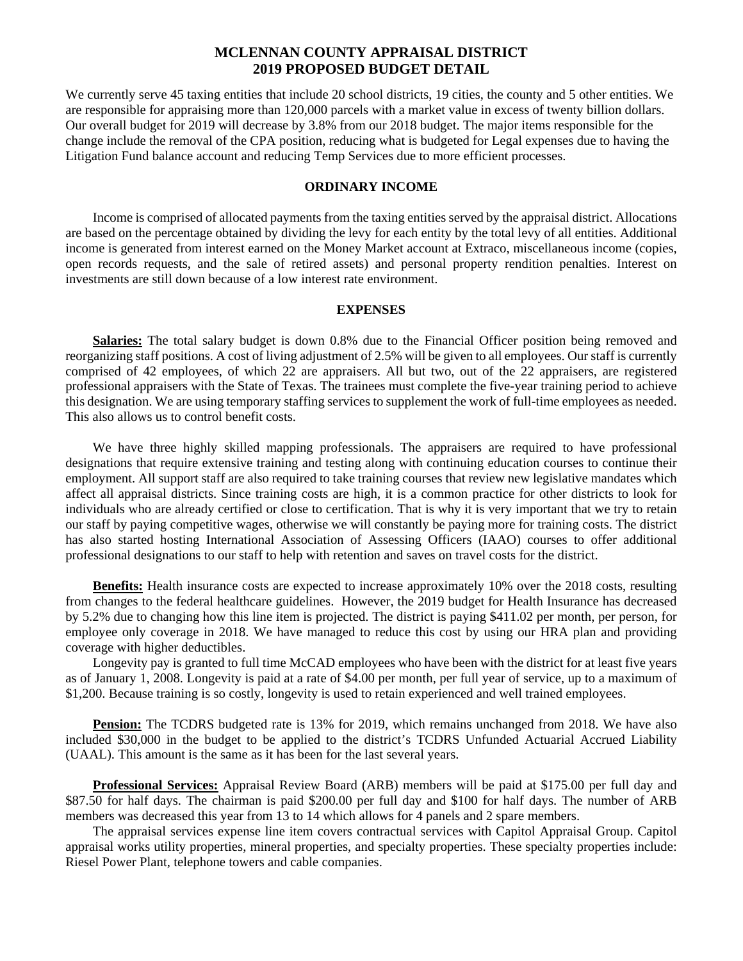## **MCLENNAN COUNTY APPRAISAL DISTRICT 2019 PROPOSED BUDGET DETAIL**

We currently serve 45 taxing entities that include 20 school districts, 19 cities, the county and 5 other entities. We are responsible for appraising more than 120,000 parcels with a market value in excess of twenty billion dollars. Our overall budget for 2019 will decrease by 3.8% from our 2018 budget. The major items responsible for the change include the removal of the CPA position, reducing what is budgeted for Legal expenses due to having the Litigation Fund balance account and reducing Temp Services due to more efficient processes.

### **ORDINARY INCOME**

Income is comprised of allocated payments from the taxing entities served by the appraisal district. Allocations are based on the percentage obtained by dividing the levy for each entity by the total levy of all entities. Additional income is generated from interest earned on the Money Market account at Extraco, miscellaneous income (copies, open records requests, and the sale of retired assets) and personal property rendition penalties. Interest on investments are still down because of a low interest rate environment.

### **EXPENSES**

Salaries: The total salary budget is down 0.8% due to the Financial Officer position being removed and reorganizing staff positions. A cost of living adjustment of 2.5% will be given to all employees. Our staff is currently comprised of 42 employees, of which 22 are appraisers. All but two, out of the 22 appraisers, are registered professional appraisers with the State of Texas. The trainees must complete the five-year training period to achieve this designation. We are using temporary staffing services to supplement the work of full-time employees as needed. This also allows us to control benefit costs.

We have three highly skilled mapping professionals. The appraisers are required to have professional designations that require extensive training and testing along with continuing education courses to continue their employment. All support staff are also required to take training courses that review new legislative mandates which affect all appraisal districts. Since training costs are high, it is a common practice for other districts to look for individuals who are already certified or close to certification. That is why it is very important that we try to retain our staff by paying competitive wages, otherwise we will constantly be paying more for training costs. The district has also started hosting International Association of Assessing Officers (IAAO) courses to offer additional professional designations to our staff to help with retention and saves on travel costs for the district.

**Benefits:** Health insurance costs are expected to increase approximately 10% over the 2018 costs, resulting from changes to the federal healthcare guidelines. However, the 2019 budget for Health Insurance has decreased by 5.2% due to changing how this line item is projected. The district is paying \$411.02 per month, per person, for employee only coverage in 2018. We have managed to reduce this cost by using our HRA plan and providing coverage with higher deductibles.

Longevity pay is granted to full time McCAD employees who have been with the district for at least five years as of January 1, 2008. Longevity is paid at a rate of \$4.00 per month, per full year of service, up to a maximum of \$1,200. Because training is so costly, longevity is used to retain experienced and well trained employees.

**Pension:** The TCDRS budgeted rate is 13% for 2019, which remains unchanged from 2018. We have also included \$30,000 in the budget to be applied to the district's TCDRS Unfunded Actuarial Accrued Liability (UAAL). This amount is the same as it has been for the last several years.

**Professional Services:** Appraisal Review Board (ARB) members will be paid at \$175.00 per full day and \$87.50 for half days. The chairman is paid \$200.00 per full day and \$100 for half days. The number of ARB members was decreased this year from 13 to 14 which allows for 4 panels and 2 spare members.

The appraisal services expense line item covers contractual services with Capitol Appraisal Group. Capitol appraisal works utility properties, mineral properties, and specialty properties. These specialty properties include: Riesel Power Plant, telephone towers and cable companies.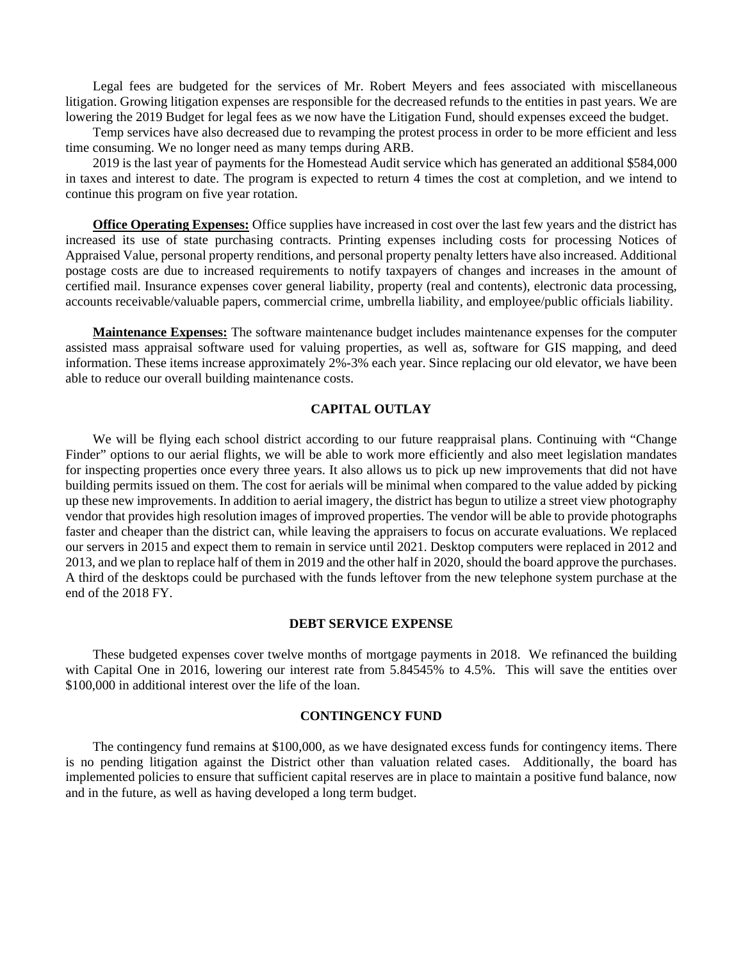Legal fees are budgeted for the services of Mr. Robert Meyers and fees associated with miscellaneous litigation. Growing litigation expenses are responsible for the decreased refunds to the entities in past years. We are lowering the 2019 Budget for legal fees as we now have the Litigation Fund, should expenses exceed the budget.

Temp services have also decreased due to revamping the protest process in order to be more efficient and less time consuming. We no longer need as many temps during ARB.

2019 is the last year of payments for the Homestead Audit service which has generated an additional \$584,000 in taxes and interest to date. The program is expected to return 4 times the cost at completion, and we intend to continue this program on five year rotation.

**Office Operating Expenses:** Office supplies have increased in cost over the last few years and the district has increased its use of state purchasing contracts. Printing expenses including costs for processing Notices of Appraised Value, personal property renditions, and personal property penalty letters have also increased. Additional postage costs are due to increased requirements to notify taxpayers of changes and increases in the amount of certified mail. Insurance expenses cover general liability, property (real and contents), electronic data processing, accounts receivable/valuable papers, commercial crime, umbrella liability, and employee/public officials liability.

**Maintenance Expenses:** The software maintenance budget includes maintenance expenses for the computer assisted mass appraisal software used for valuing properties, as well as, software for GIS mapping, and deed information. These items increase approximately 2%-3% each year. Since replacing our old elevator, we have been able to reduce our overall building maintenance costs.

#### **CAPITAL OUTLAY**

We will be flying each school district according to our future reappraisal plans. Continuing with "Change Finder" options to our aerial flights, we will be able to work more efficiently and also meet legislation mandates for inspecting properties once every three years. It also allows us to pick up new improvements that did not have building permits issued on them. The cost for aerials will be minimal when compared to the value added by picking up these new improvements. In addition to aerial imagery, the district has begun to utilize a street view photography vendor that provides high resolution images of improved properties. The vendor will be able to provide photographs faster and cheaper than the district can, while leaving the appraisers to focus on accurate evaluations. We replaced our servers in 2015 and expect them to remain in service until 2021. Desktop computers were replaced in 2012 and 2013, and we plan to replace half of them in 2019 and the other half in 2020, should the board approve the purchases. A third of the desktops could be purchased with the funds leftover from the new telephone system purchase at the end of the 2018 FY.

#### **DEBT SERVICE EXPENSE**

These budgeted expenses cover twelve months of mortgage payments in 2018. We refinanced the building with Capital One in 2016, lowering our interest rate from 5.84545% to 4.5%. This will save the entities over \$100,000 in additional interest over the life of the loan.

### **CONTINGENCY FUND**

The contingency fund remains at \$100,000, as we have designated excess funds for contingency items. There is no pending litigation against the District other than valuation related cases. Additionally, the board has implemented policies to ensure that sufficient capital reserves are in place to maintain a positive fund balance, now and in the future, as well as having developed a long term budget.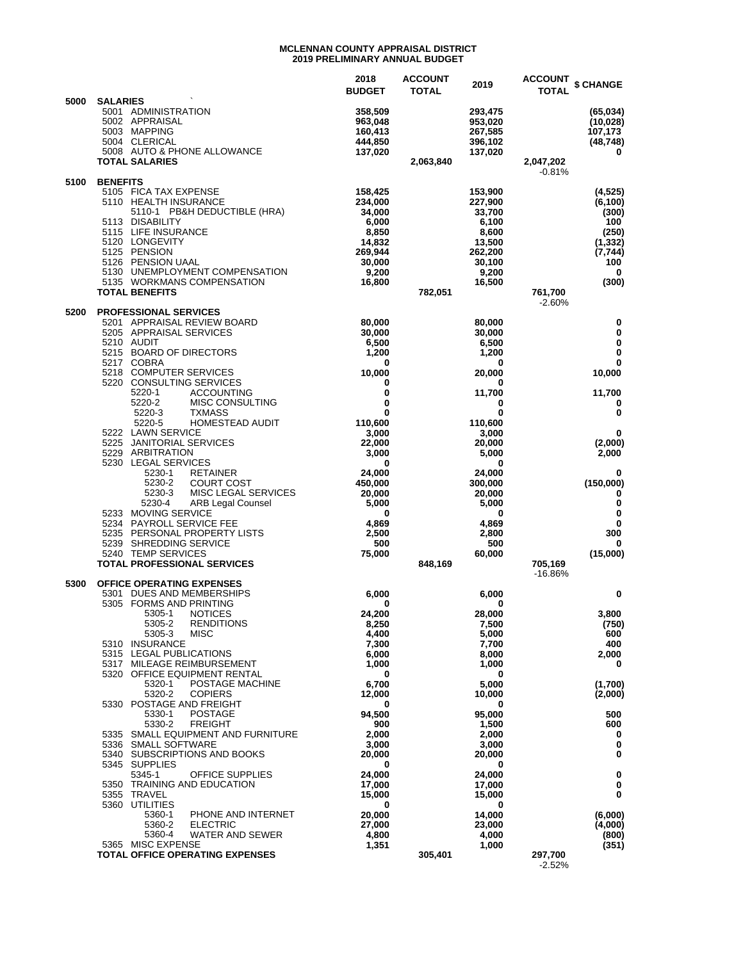#### **MCLENNAN COUNTY APPRAISAL DISTRICT 2019 PRELIMINARY ANNUAL BUDGET**

|      |                                                                                                                          | 2018<br><b>BUDGET</b>                    | <b>ACCOUNT</b><br><b>TOTAL</b> | 2019                                     | <b>ACCOUNT</b><br><b>TOTAL</b> | \$ CHANGE                                      |
|------|--------------------------------------------------------------------------------------------------------------------------|------------------------------------------|--------------------------------|------------------------------------------|--------------------------------|------------------------------------------------|
| 5000 | <b>SALARIES</b><br>5001 ADMINISTRATION<br>5002 APPRAISAL<br>5003 MAPPING<br>5004 CLERICAL<br>5008 AUTO & PHONE ALLOWANCE | 358,509<br>963,048<br>160,413<br>444,850 |                                | 293,475<br>953,020<br>267,585<br>396,102 |                                | (65, 034)<br>(10, 028)<br>107,173<br>(48, 748) |
|      | <b>TOTAL SALARIES</b>                                                                                                    | 137,020                                  | 2,063,840                      | 137,020                                  | 2,047,202<br>$-0.81%$          | 0                                              |
| 5100 | <b>BENEFITS</b><br>5105 FICA TAX EXPENSE                                                                                 | 158,425                                  |                                | 153,900                                  |                                | (4, 525)                                       |
|      | 5110 HEALTH INSURANCE<br>5110-1 PB&H DEDUCTIBLE (HRA)                                                                    | 234,000<br>34,000                        |                                | 227,900<br>33,700                        |                                | (6, 100)<br>(300)                              |
|      | 5113 DISABILITY<br>5115 LIFE INSURANCE                                                                                   | 6,000<br>8,850                           |                                | 6,100<br>8,600                           |                                | 100<br>(250)                                   |
|      | 5120 LONGEVITY<br>5125 PENSION                                                                                           | 14,832<br>269,944                        |                                | 13,500<br>262,200                        |                                | (1, 332)<br>(7, 744)                           |
|      | 5126 PENSION UAAL<br>5130 UNEMPLOYMENT COMPENSATION                                                                      | 30,000                                   |                                | 30,100                                   |                                | 100                                            |
|      | 5135 WORKMANS COMPENSATION                                                                                               | 9,200<br>16,800                          |                                | 9,200<br>16,500                          |                                | 0<br>(300)                                     |
|      | <b>TOTAL BENEFITS</b>                                                                                                    |                                          | 782,051                        |                                          | 761,700<br>$-2.60%$            |                                                |
| 5200 | <b>PROFESSIONAL SERVICES</b><br>5201 APPRAISAL REVIEW BOARD                                                              | 80,000                                   |                                | 80,000                                   |                                | 0                                              |
|      | 5205 APPRAISAL SERVICES<br>5210 AUDIT                                                                                    | 30,000<br>6,500                          |                                | 30,000<br>6,500                          |                                | 0<br>0                                         |
|      | 5215 BOARD OF DIRECTORS<br>5217 COBRA                                                                                    | 1,200<br>0                               |                                | 1,200<br>0                               |                                | $\mathbf 0$<br>$\mathbf 0$                     |
|      | 5218 COMPUTER SERVICES<br>5220 CONSULTING SERVICES                                                                       | 10,000<br>0                              |                                | 20,000<br>0                              |                                | 10,000                                         |
|      | 5220-1<br><b>ACCOUNTING</b>                                                                                              | 0                                        |                                | 11,700                                   |                                | 11,700                                         |
|      | 5220-2<br>MISC CONSULTING<br>5220-3<br><b>TXMASS</b>                                                                     | 0<br>0                                   |                                | 0<br>0                                   |                                | 0<br>$\bf{0}$                                  |
|      | 5220-5<br><b>HOMESTEAD AUDIT</b><br>5222 LAWN SERVICE                                                                    | 110,600<br>3,000                         |                                | 110,600<br>3,000                         |                                | 0                                              |
|      | 5225 JANITORIAL SERVICES<br>5229 ARBITRATION                                                                             | 22,000<br>3,000                          |                                | 20,000<br>5,000                          |                                | (2,000)<br>2,000                               |
|      | 5230 LEGAL SERVICES                                                                                                      | 0                                        |                                | 0                                        |                                |                                                |
|      | 5230-1<br><b>RETAINER</b><br>5230-2<br><b>COURT COST</b>                                                                 | 24,000<br>450,000                        |                                | 24,000<br>300,000                        |                                | 0<br>(150,000)                                 |
|      | 5230-3<br>MISC LEGAL SERVICES<br>5230-4<br>ARB Legal Counsel                                                             | 20,000<br>5,000                          |                                | 20,000<br>5,000                          |                                | 0<br>0                                         |
|      | 5233 MOVING SERVICE<br>5234 PAYROLL SERVICE FEE                                                                          | 0<br>4,869                               |                                | 0<br>4,869                               |                                | 0<br>0                                         |
|      | 5235 PERSONAL PROPERTY LISTS<br>5239 SHREDDING SERVICE                                                                   | 2,500<br>500                             |                                | 2,800<br>500                             |                                | 300<br>0                                       |
|      | 5240 TEMP SERVICES                                                                                                       | 75.000                                   |                                | 60,000                                   |                                | (15,000)                                       |
|      | <b>TOTAL PROFESSIONAL SERVICES</b>                                                                                       |                                          | 848.169                        |                                          | 705,169<br>$-16.86%$           |                                                |
| 5300 | <b>OFFICE OPERATING EXPENSES</b><br>5301 DUES AND MEMBERSHIPS                                                            | 6,000                                    |                                | 6,000                                    |                                | 0                                              |
|      | 5305 FORMS AND PRINTING<br>5305-1 NOTICES                                                                                | 0<br>24,200                              |                                | 0<br>28,000                              |                                | 3,800                                          |
|      | <b>RENDITIONS</b><br>5305-2<br>5305-3<br>MISC                                                                            | 8,250<br>4,400                           |                                | 7,500<br>5,000                           |                                | (750)<br>600                                   |
|      | 5310 INSURANCE<br>5315 LEGAL PUBLICATIONS                                                                                | 7,300<br>6,000                           |                                | 7,700<br>8,000                           |                                | 400<br>2,000                                   |
|      | 5317 MILEAGE REIMBURSEMENT                                                                                               | 1,000                                    |                                | 1,000                                    |                                | 0                                              |
|      | 5320 OFFICE EQUIPMENT RENTAL<br>5320-1<br>POSTAGE MACHINE                                                                | 0<br>6,700                               |                                | 0<br>5,000                               |                                | (1,700)                                        |
|      | 5320-2<br><b>COPIERS</b><br>5330 POSTAGE AND FREIGHT                                                                     | 12,000<br>0                              |                                | 10,000<br>0                              |                                | (2,000)                                        |
|      | 5330-1<br><b>POSTAGE</b><br>5330-2<br><b>FREIGHT</b>                                                                     | 94,500<br>900                            |                                | 95,000<br>1,500                          |                                | 500<br>600                                     |
|      | 5335 SMALL EQUIPMENT AND FURNITURE                                                                                       | 2,000                                    |                                | 2,000                                    |                                | 0                                              |
|      | 5336 SMALL SOFTWARE<br>5340 SUBSCRIPTIONS AND BOOKS                                                                      | 3,000<br>20,000                          |                                | 3,000<br>20,000                          |                                | 0<br>0                                         |
|      | 5345 SUPPLIES<br><b>OFFICE SUPPLIES</b><br>5345-1                                                                        | 0<br>24,000                              |                                | 0<br>24,000                              |                                | 0                                              |
|      | 5350 TRAINING AND EDUCATION                                                                                              | 17,000                                   |                                | 17,000                                   |                                | 0                                              |
|      | 5355 TRAVEL<br>5360 UTILITIES                                                                                            | 15,000<br>0                              |                                | 15,000<br>0                              |                                | 0                                              |
|      | 5360-1<br>PHONE AND INTERNET<br>5360-2<br><b>ELECTRIC</b>                                                                | 20,000<br>27,000                         |                                | 14,000<br>23,000                         |                                | (6,000)<br>(4,000)                             |
|      | 5360-4<br>WATER AND SEWER<br>5365 MISC EXPENSE                                                                           | 4,800<br>1,351                           |                                | 4,000<br>1,000                           |                                | (800)<br>(351)                                 |
|      | <b>TOTAL OFFICE OPERATING EXPENSES</b>                                                                                   |                                          | 305,401                        |                                          | 297,700<br>$-2.52%$            |                                                |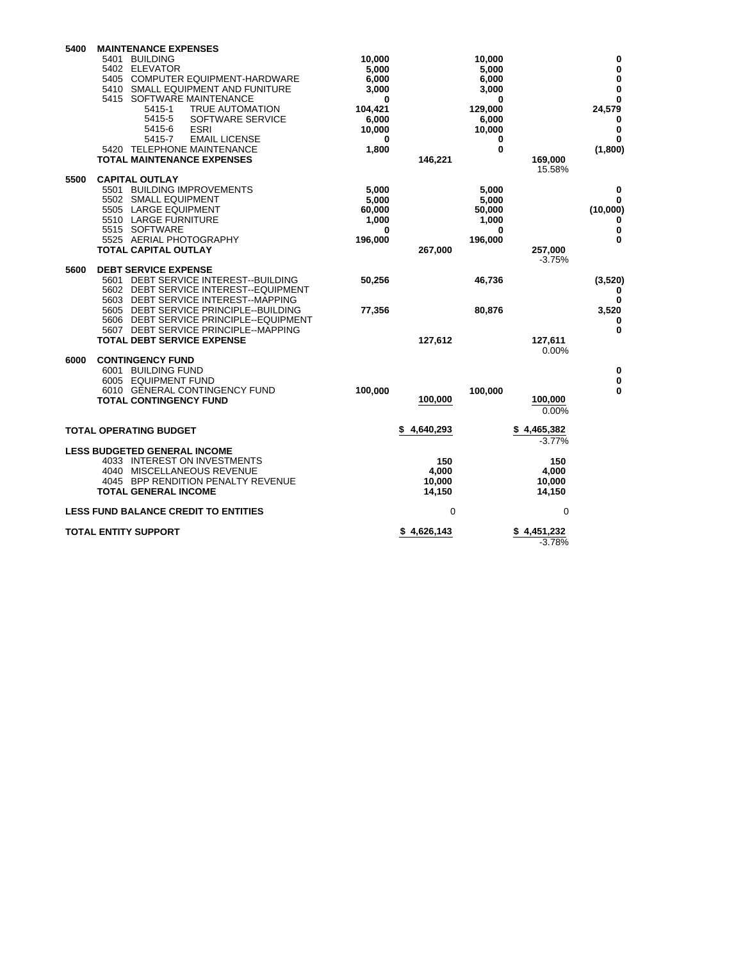| 5400 | <b>MAINTENANCE EXPENSES</b><br><b>BUILDING</b><br>5401<br>5402 ELEVATOR<br>5405 COMPUTER EQUIPMENT-HARDWARE<br>5410 SMALL EQUIPMENT AND FUNITURE<br>5415 SOFTWARE MAINTENANCE<br>5415-1<br><b>TRUE AUTOMATION</b><br>5415-5<br>SOFTWARE SERVICE<br>5415-6<br><b>ESRI</b><br>5415-7<br><b>EMAIL LICENSE</b><br>5420 TELEPHONE MAINTENANCE<br><b>TOTAL MAINTENANCE EXPENSES</b> | 10,000<br>5,000<br>6,000<br>3,000<br>0<br>104,421<br>6,000<br>10,000<br>0<br>1,800 | 146,221                          | 10,000<br>5,000<br>6,000<br>3,000<br>0<br>129,000<br>6,000<br>10,000<br>0<br>0 | 169,000<br>15.58%                | 0<br>$\mathbf 0$<br>$\bf{0}$<br>$\bf{0}$<br>$\mathbf 0$<br>24,579<br>0<br>$\mathbf 0$<br>$\bf{0}$<br>(1,800) |
|------|-------------------------------------------------------------------------------------------------------------------------------------------------------------------------------------------------------------------------------------------------------------------------------------------------------------------------------------------------------------------------------|------------------------------------------------------------------------------------|----------------------------------|--------------------------------------------------------------------------------|----------------------------------|--------------------------------------------------------------------------------------------------------------|
| 5500 | <b>CAPITAL OUTLAY</b><br>5501<br><b>BUILDING IMPROVEMENTS</b><br>5502 SMALL EQUIPMENT<br>5505 LARGE EQUIPMENT<br>5510 LARGE FURNITURE<br>5515 SOFTWARE<br>5525 AERIAL PHOTOGRAPHY<br><b>TOTAL CAPITAL OUTLAY</b>                                                                                                                                                              | 5,000<br>5,000<br>60,000<br>1,000<br>0<br>196,000                                  | 267,000                          | 5,000<br>5,000<br>50,000<br>1,000<br>0<br>196,000                              | 257,000<br>$-3.75%$              | 0<br>0<br>(10,000)<br>$\mathbf 0$<br>0<br>0                                                                  |
| 5600 | <b>DEBT SERVICE EXPENSE</b><br>DEBT SERVICE INTEREST--BUILDING<br>5601<br>5602 DEBT SERVICE INTEREST--EQUIPMENT<br>5603 DEBT SERVICE INTEREST--MAPPING<br>5605 DEBT SERVICE PRINCIPLE--BUILDING<br>5606 DEBT SERVICE PRINCIPLE--EQUIPMENT<br>5607 DEBT SERVICE PRINCIPLE--MAPPING<br><b>TOTAL DEBT SERVICE EXPENSE</b>                                                        | 50,256<br>77,356                                                                   | 127,612                          | 46,736<br>80,876                                                               | 127,611<br>$0.00\%$              | (3, 520)<br>0<br>$\mathbf 0$<br>3,520<br>0<br>$\mathbf 0$                                                    |
| 6000 | <b>CONTINGENCY FUND</b><br>6001 BUILDING FUND<br>6005 EQUIPMENT FUND<br>6010 GENERAL CONTINGENCY FUND<br><b>TOTAL CONTINGENCY FUND</b>                                                                                                                                                                                                                                        | 100,000                                                                            | 100,000                          | 100,000                                                                        | 100,000<br>$0.00\%$              | 0<br>$\mathbf 0$<br>0                                                                                        |
|      | <b>TOTAL OPERATING BUDGET</b>                                                                                                                                                                                                                                                                                                                                                 |                                                                                    | 4.640.293                        |                                                                                | 4,465,382<br>-3.77%              |                                                                                                              |
|      | <b>LESS BUDGETED GENERAL INCOME</b><br>4033 INTEREST ON INVESTMENTS<br>4040 MISCELLANEOUS REVENUE<br>4045 BPP RENDITION PENALTY REVENUE<br><b>TOTAL GENERAL INCOME</b>                                                                                                                                                                                                        |                                                                                    | 150<br>4.000<br>10,000<br>14,150 |                                                                                | 150<br>4.000<br>10,000<br>14,150 |                                                                                                              |
|      | <b>LESS FUND BALANCE CREDIT TO ENTITIES</b>                                                                                                                                                                                                                                                                                                                                   |                                                                                    | 0                                |                                                                                | $\mathbf 0$                      |                                                                                                              |
|      | <b>TOTAL ENTITY SUPPORT</b>                                                                                                                                                                                                                                                                                                                                                   |                                                                                    | \$4,626,143                      |                                                                                | \$4,451,232<br>$-3.78%$          |                                                                                                              |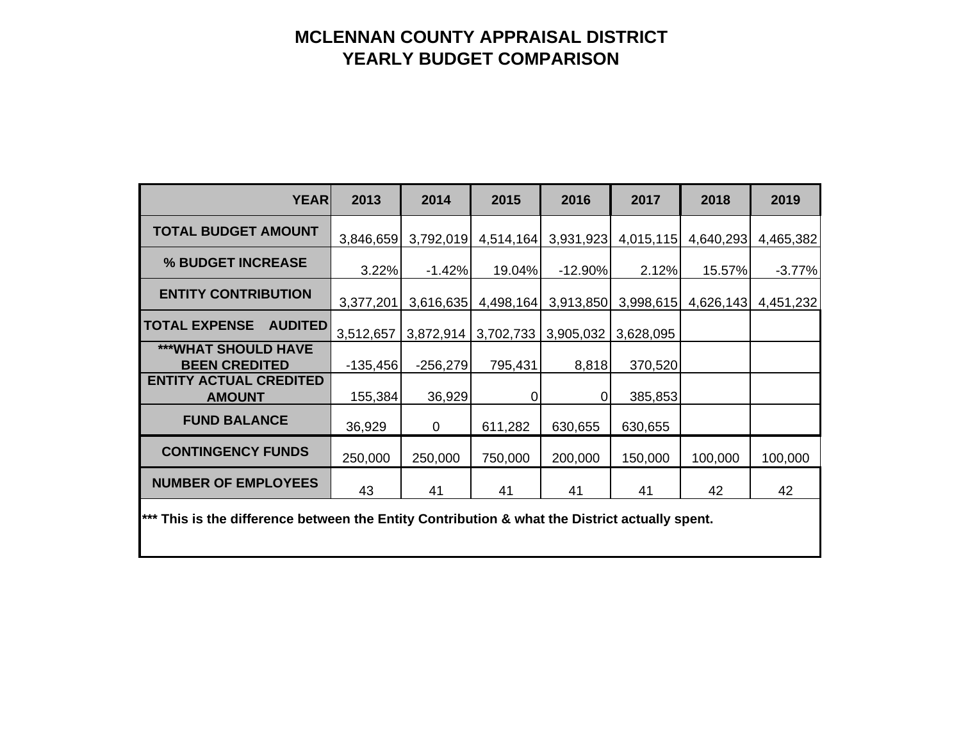## **MCLENNAN COUNTY APPRAISAL DISTRICT YEARLY BUDGET COMPARISON**

| <b>YEAR</b>                                                                                               | 2013       | 2014        | 2015      | 2016      | 2017      | 2018      | 2019      |  |  |  |  |
|-----------------------------------------------------------------------------------------------------------|------------|-------------|-----------|-----------|-----------|-----------|-----------|--|--|--|--|
| <b>TOTAL BUDGET AMOUNT</b>                                                                                | 3,846,659  | 3,792,019   | 4,514,164 | 3,931,923 | 4,015,115 | 4,640,293 | 4,465,382 |  |  |  |  |
| % BUDGET INCREASE                                                                                         | 3.22%      | $-1.42%$    | 19.04%    | $-12.90%$ | 2.12%     | 15.57%    | $-3.77%$  |  |  |  |  |
| <b>ENTITY CONTRIBUTION</b>                                                                                | 3,377,201  | 3,616,635   | 4,498,164 | 3,913,850 | 3,998,615 | 4,626,143 | 4,451,232 |  |  |  |  |
| <b>TOTAL EXPENSE</b><br><b>AUDITED</b>                                                                    | 3,512,657  | 3,872,914   | 3,702,733 | 3,905,032 | 3,628,095 |           |           |  |  |  |  |
| ***WHAT SHOULD HAVE<br><b>BEEN CREDITED</b>                                                               | $-135,456$ | $-256,279$  | 795,431   | 8,818     | 370,520   |           |           |  |  |  |  |
| <b>ENTITY ACTUAL CREDITED</b><br><b>AMOUNT</b>                                                            | 155,384    | 36,929      | 0         | 0         | 385,853   |           |           |  |  |  |  |
| <b>FUND BALANCE</b>                                                                                       | 36,929     | $\mathbf 0$ | 611,282   | 630,655   | 630,655   |           |           |  |  |  |  |
| <b>CONTINGENCY FUNDS</b>                                                                                  | 250,000    | 250,000     | 750,000   | 200,000   | 150,000   | 100,000   | 100,000   |  |  |  |  |
| <b>NUMBER OF EMPLOYEES</b>                                                                                | 43         | 41          | 41        | 41        | 41        | 42        | 42        |  |  |  |  |
| <sup>***</sup> This is the difference between the Entity Contribution & what the District actually spent. |            |             |           |           |           |           |           |  |  |  |  |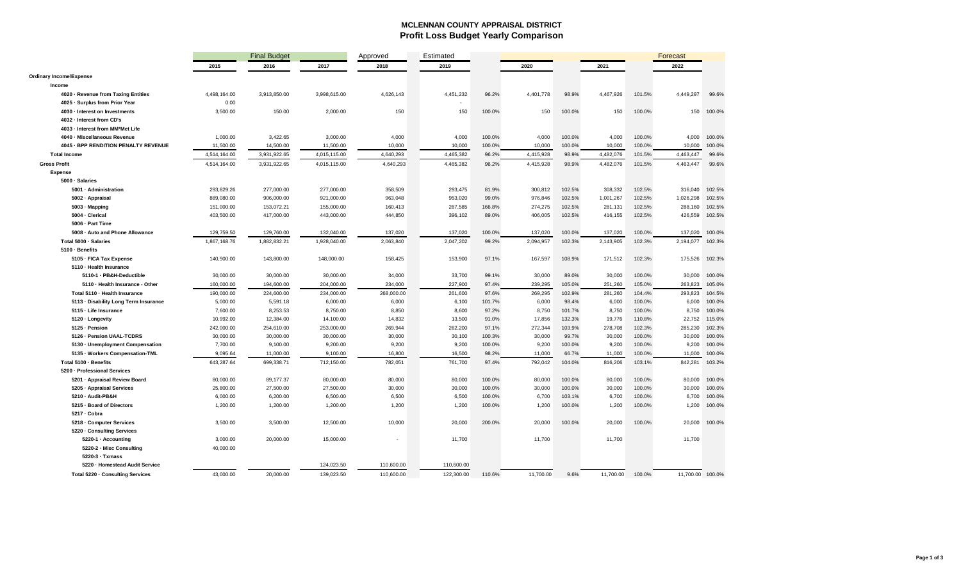#### **MCLENNAN COUNTY APPRAISAL DISTRICT Profit Loss Budget Yearly Comparison**

|                                                   |              | <b>Final Budget</b> |                          | Approved                 | Estimated                |        |           |        |           |        | Forecast         |        |
|---------------------------------------------------|--------------|---------------------|--------------------------|--------------------------|--------------------------|--------|-----------|--------|-----------|--------|------------------|--------|
|                                                   | 2015         | 2016                | 2017                     | 2018                     | 2019                     |        | 2020      |        | 2021      |        | 2022             |        |
| <b>Ordinary Income/Expense</b>                    |              |                     |                          |                          |                          |        |           |        |           |        |                  |        |
| Income                                            |              |                     |                          |                          |                          |        |           |        |           |        |                  |        |
| 4020 - Revenue from Taxing Entities               | 4,498,164.00 | 3,913,850.00        | 3,998,615.00             | 4,626,143                | 4,451,232                | 96.2%  | 4,401,778 | 98.9%  | 4,467,926 | 101.5% | 4,449,297        | 99.6%  |
| 4025 - Surplus from Prior Year                    | 0.00         |                     |                          |                          |                          |        |           |        |           |        |                  |        |
| 4030 - Interest on Investments                    | 3,500.00     | 150.00              | 2,000.00                 | 150                      | 150                      | 100.0% | 150       | 100.0% | 150       | 100.0% | 150              | 100.0% |
| 4032 - Interest from CD's                         |              |                     |                          |                          |                          |        |           |        |           |        |                  |        |
| 4033 - Interest from MM*Met Life                  |              |                     |                          |                          |                          |        |           |        |           |        |                  |        |
| 4040 - Miscellaneous Revenue                      | 1,000.00     | 3,422.65            | 3,000.00                 | 4,000                    | 4,000                    | 100.0% | 4,000     | 100.0% | 4,000     | 100.0% | 4.000            | 100.0% |
| 4045 - BPP RENDITION PENALTY REVENUE              | 11,500.00    | 14,500.00           | 11,500.00                | 10,000                   | 10,000                   | 100.0% | 10,000    | 100.0% | 10,000    | 100.0% | 10,000           | 100.0% |
| <b>Total Income</b>                               | 4,514,164.00 | 3,931,922.65        | 4,015,115.00             | 4,640,293                | 4,465,382                | 96.2%  | 4,415,928 | 98.9%  | 4,482,076 | 101.5% | 4,463,447        | 99.6%  |
| <b>Gross Profit</b>                               | 4,514,164.00 | 3,931,922.65        | 4,015,115.00             | 4,640,293                | 4,465,382                | 96.2%  | 4,415,928 | 98.9%  | 4,482,076 | 101.5% | 4,463,447        | 99.6%  |
| <b>Expense</b>                                    |              |                     |                          |                          |                          |        |           |        |           |        |                  |        |
| 5000 · Salaries                                   |              |                     |                          |                          |                          |        |           |        |           |        |                  |        |
| 5001 · Administration                             | 293,829.26   | 277,000.00          | 277,000.00               | 358,509                  | 293,475                  | 81.9%  | 300,812   | 102.5% | 308,332   | 102.5% | 316,040          | 102.5% |
| 5002 - Appraisal                                  | 889,080.00   | 906,000.00          | 921,000.00               | 963,048                  | 953,020                  | 99.0%  | 976,846   | 102.5% | 1,001,267 | 102.5% | 1,026,298        | 102.5% |
| 5003 · Mapping                                    | 151,000.00   | 153,072.21          | 155,000.00               | 160,413                  | 267,585                  | 166.8% | 274,275   | 102.5% | 281,131   | 102.5% | 288,160          | 102.5% |
| 5004 - Clerical                                   | 403,500.00   | 417,000.00          | 443,000.00               | 444,850                  | 396,102                  | 89.0%  | 406,005   | 102.5% | 416,155   | 102.5% | 426,559          | 102.5% |
| 5006 - Part Time                                  |              |                     |                          |                          |                          |        |           |        |           |        |                  |        |
| 5008 - Auto and Phone Allowance                   | 129,759.50   | 129,760.00          | 132.040.00               | 137,020                  | 137,020                  | 100.0% | 137,020   | 100.0% | 137,020   | 100.0% | 137.020          | 100.0% |
| Total 5000 - Salaries                             | 1,867,168.76 | 1,882,832.21        | 1,928,040.00             | 2,063,840                | 2,047,202                | 99.2%  | 2,094,957 | 102.3% | 2,143,905 | 102.3% | 2,194,077        | 102.3% |
| 5100 - Benefits                                   |              |                     |                          |                          |                          |        |           |        |           |        |                  |        |
| 5105 - FICA Tax Expense                           | 140,900.00   | 143,800.00          | 148,000.00               | 158,425                  | 153,900                  | 97.1%  | 167,597   | 108.9% | 171,512   | 102.3% | 175,526          | 102.3% |
| 5110 - Health Insurance                           |              |                     |                          |                          |                          |        |           |        |           |        |                  |        |
| 5110-1 - PB&H-Deductible                          | 30,000.00    | 30,000.00           | 30,000.00                | 34,000                   | 33,700                   | 99.1%  | 30,000    | 89.0%  | 30,000    | 100.0% | 30,000           | 100.0% |
| 5110 - Health Insurance - Other                   | 160,000.00   | 194,600.00          | 204,000.00               | 234,000                  | 227,900                  | 97.4%  | 239,295   | 105.0% | 251,260   | 105.0% | 263,823          | 105.0% |
| Total 5110 - Health Insurance                     | 190,000.00   | 224,600.00          | 234,000.00               | 268,000.00               | 261,600                  | 97.6%  | 269,295   | 102.9% | 281,260   | 104.4% | 293,823          | 104.5% |
| 5113 - Disability Long Term Insurance             | 5,000.00     | 5,591.18            | 6,000.00                 | 6,000                    | 6,100                    | 101.7% | 6,000     | 98.4%  | 6,000     | 100.0% | 6,000            | 100.0% |
| 5115 - Life Insurance                             | 7,600.00     | 8,253.53            | 8,750.00                 | 8,850                    | 8,600                    | 97.2%  | 8,750     | 101.7% | 8,750     | 100.0% | 8,750            | 100.0% |
| 5120 - Longevity                                  | 10,992.00    | 12,384.00           | 14,100.00                | 14,832                   | 13,500                   | 91.0%  | 17,856    | 132.3% | 19,776    | 110.8% | 22,752           | 115.0% |
| 5125 - Pension                                    | 242,000.00   | 254,610.00          | 253,000.00               | 269,944                  | 262,200                  | 97.1%  | 272,344   | 103.9% | 278,708   | 102.3% | 285,230          | 102.3% |
| 5126 - Pension UAAL-TCDRS                         | 30,000.00    | 30,000.00           | 30,000.00                | 30,000                   | 30,100                   | 100.3% | 30,000    | 99.7%  | 30,000    | 100.0% | 30,000           | 100.0% |
| 5130 - Unemployment Compensation                  | 7,700.00     | 9,100.00            | 9,200.00                 | 9,200                    | 9,200                    | 100.0% | 9,200     | 100.0% | 9,200     | 100.0% | 9,200            | 100.0% |
| 5135 · Workers Compensation-TML                   | 9,095.64     | 11,000.00           | 9,100.00                 | 16,800                   | 16,500                   | 98.2%  | 11,000    | 66.7%  | 11,000    | 100.0% | 11,000           | 100.0% |
| Total 5100 · Benefits                             | 643,287.64   | 699,338.71          | 712,150.00               | 782,051                  | 761,700                  | 97.4%  | 792,042   | 104.0% | 816,206   | 103.1% | 842,281          | 103.2% |
| 5200 - Professional Services                      |              |                     |                          |                          |                          |        |           |        |           |        |                  |        |
| 5201 · Appraisal Review Board                     | 80,000.00    | 89,177.37           | 80,000.00                | 80,000                   | 80,000                   | 100.0% | 80,000    | 100.0% | 80,000    | 100.0% | 80,000           | 100.0% |
| 5205 - Appraisal Services                         | 25,800.00    | 27,500.00           | 27,500.00                | 30,000                   | 30,000                   | 100.0% | 30,000    | 100.0% | 30,000    | 100.0% | 30,000           | 100.0% |
| 5210 - Audit-PB&H                                 | 6,000.00     | 6,200.00            | 6,500.00                 | 6,500                    | 6,500                    | 100.0% | 6,700     | 103.1% | 6,700     | 100.0% | 6,700            | 100.0% |
| 5215 - Board of Directors                         | 1,200.00     | 1,200.00            | 1,200.00                 | 1,200                    | 1,200                    | 100.0% | 1,200     | 100.0% | 1,200     | 100.0% | 1,200            | 100.0% |
| 5217 - Cobra                                      |              |                     |                          |                          |                          |        |           |        |           |        |                  |        |
| 5218 - Computer Services                          | 3,500.00     | 3,500.00            | 12,500.00                | 10,000                   | 20,000                   | 200.0% | 20,000    | 100.0% | 20,000    | 100.0% | 20,000           | 100.0% |
| 5220 · Consulting Services                        |              |                     |                          |                          |                          |        |           |        |           |        |                  |        |
| 5220-1 · Accounting                               | 3,000.00     | 20,000.00           | 15,000.00                |                          | 11,700                   |        | 11,700    |        | 11,700    |        | 11,700           |        |
| 5220-2 - Misc Consulting                          | 40,000.00    |                     |                          |                          |                          |        |           |        |           |        |                  |        |
| 5220-3 · Txmass<br>5220 - Homestead Audit Service |              |                     |                          |                          |                          |        |           |        |           |        |                  |        |
|                                                   | 43,000.00    | 20,000.00           | 124,023.50<br>139,023.50 | 110,600.00<br>110,600.00 | 110,600.00<br>122,300.00 |        | 11,700.00 |        | 11,700.00 |        | 11,700.00 100.0% |        |
| Total 5220 · Consulting Services                  |              |                     |                          |                          |                          | 110.6% |           | 9.6%   |           | 100.0% |                  |        |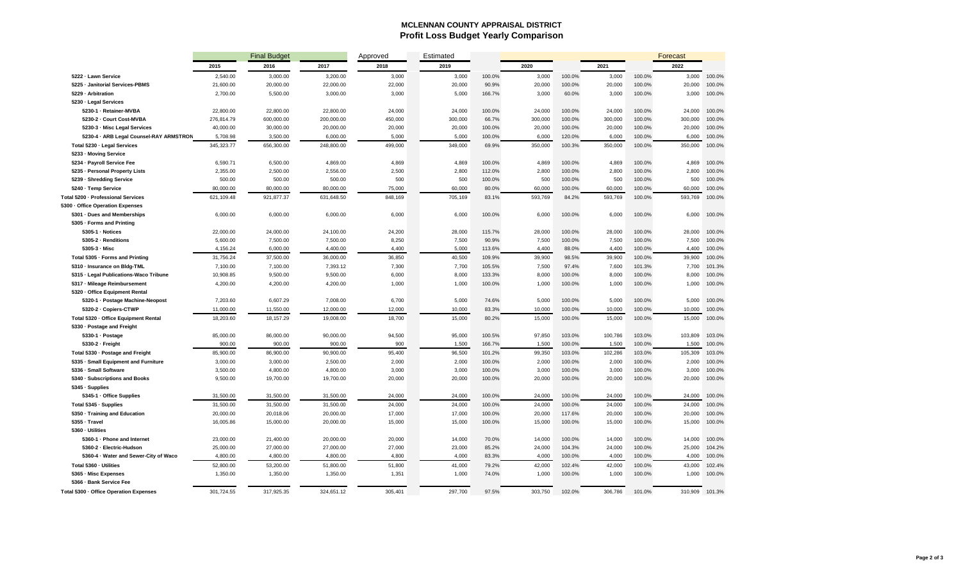#### **MCLENNAN COUNTY APPRAISAL DISTRICT Profit Loss Budget Yearly Comparison**

|                                           |            | <b>Final Budget</b> |            | Approved | Estimated |        |         |        |         |        | <b>Forecast</b> |        |
|-------------------------------------------|------------|---------------------|------------|----------|-----------|--------|---------|--------|---------|--------|-----------------|--------|
|                                           | 2015       | 2016                | 2017       | 2018     | 2019      |        | 2020    |        | 2021    |        | 2022            |        |
| 5222 - Lawn Service                       | 2.540.00   | 3,000.00            | 3,200.00   | 3,000    | 3,000     | 100.0% | 3,000   | 100.0% | 3,000   | 100.0% | 3.000           | 100.0% |
| 5225 - Janitorial Services-PBMS           | 21,600.00  | 20,000.00           | 22,000.00  | 22,000   | 20,000    | 90.9%  | 20,000  | 100.0% | 20,000  | 100.0% | 20,000          | 100.0% |
| 5229 - Arbitration                        | 2,700.00   | 5,500.00            | 3,000.00   | 3,000    | 5,000     | 166.7% | 3,000   | 60.0%  | 3,000   | 100.0% | 3,000           | 100.0% |
| 5230 - Legal Services                     |            |                     |            |          |           |        |         |        |         |        |                 |        |
| 5230-1 - Retainer-MVBA                    | 22,800.00  | 22,800.00           | 22,800.00  | 24,000   | 24,000    | 100.0% | 24,000  | 100.0% | 24,000  | 100.0% | 24.000          | 100.0% |
| 5230-2 - Court Cost-MVBA                  | 276,814.79 | 600,000.00          | 200,000.00 | 450,000  | 300,000   | 66.7%  | 300,000 | 100.0% | 300,000 | 100.0% | 300,000         | 100.0% |
| 5230-3 - Misc Legal Services              | 40,000.00  | 30,000.00           | 20,000.00  | 20,000   | 20,000    | 100.0% | 20,000  | 100.0% | 20,000  | 100.0% | 20,000          | 100.0% |
| 5230-4 · ARB Legal Counsel-RAY ARMSTRON   | 5,708.98   | 3,500.00            | 6,000.00   | 5,000    | 5,000     | 100.0% | 6,000   | 120.0% | 6,000   | 100.0% | 6,000           | 100.0% |
| Total 5230 · Legal Services               | 345,323.77 | 656,300.00          | 248,800.00 | 499,000  | 349,000   | 69.9%  | 350,000 | 100.3% | 350,000 | 100.0% | 350,000         | 100.0% |
| 5233 - Moving Service                     |            |                     |            |          |           |        |         |        |         |        |                 |        |
| 5234 - Payroll Service Fee                | 6,590.71   | 6,500.00            | 4,869.00   | 4,869    | 4,869     | 100.0% | 4,869   | 100.0% | 4,869   | 100.0% | 4.869           | 100.0% |
| 5235 - Personal Property Lists            | 2,355.00   | 2,500.00            | 2,556.00   | 2,500    | 2,800     | 112.0% | 2,800   | 100.0% | 2,800   | 100.0% | 2,800           | 100.0% |
| 5239 - Shredding Service                  | 500.00     | 500.00              | 500.00     | 500      | 500       | 100.0% | 500     | 100.0% | 500     | 100.0% | 500             | 100.0% |
| 5240 - Temp Service                       | 80,000.00  | 80,000.00           | 80,000.00  | 75,000   | 60,000    | 80.0%  | 60,000  | 100.0% | 60,000  | 100.0% | 60,000          | 100.0% |
| <b>Total 5200 - Professional Services</b> | 621,109.48 | 921,877.37          | 631,648.50 | 848,169  | 705,169   | 83.1%  | 593,769 | 84.2%  | 593,769 | 100.0% | 593,769         | 100.0% |
| 5300 · Office Operation Expenses          |            |                     |            |          |           |        |         |        |         |        |                 |        |
| 5301 - Dues and Memberships               | 6,000.00   | 6,000.00            | 6,000.00   | 6,000    | 6,000     | 100.0% | 6,000   | 100.0% | 6,000   | 100.0% | 6,000           | 100.0% |
| 5305 - Forms and Printing                 |            |                     |            |          |           |        |         |        |         |        |                 |        |
| $5305-1$ $\cdot$ Notices                  | 22,000.00  | 24,000.00           | 24,100.00  | 24,200   | 28,000    | 115.7% | 28,000  | 100.0% | 28,000  | 100.0% | 28,000          | 100.0% |
| 5305-2 · Renditions                       | 5,600.00   | 7,500.00            | 7,500.00   | 8,250    | 7,500     | 90.9%  | 7,500   | 100.0% | 7,500   | 100.0% | 7,500           | 100.0% |
| $5305-3$ $\cdot$ Misc                     | 4,156.24   | 6,000.00            | 4,400.00   | 4,400    | 5,000     | 113.6% | 4,400   | 88.0%  | 4,400   | 100.0% | 4,400           | 100.0% |
| Total 5305 - Forms and Printing           | 31,756.24  | 37,500.00           | 36,000.00  | 36,850   | 40,500    | 109.9% | 39,900  | 98.5%  | 39,900  | 100.0% | 39,900          | 100.0% |
| 5310 - Insurance on Bldg-TML              | 7,100.00   | 7,100.00            | 7,393.12   | 7,300    | 7,700     | 105.5% | 7,500   | 97.4%  | 7,600   | 101.3% | 7,700           | 101.3% |
| 5315 - Legal Publications-Waco Tribune    | 10,908.85  | 9,500.00            | 9,500.00   | 6,000    | 8,000     | 133.3% | 8,000   | 100.0% | 8,000   | 100.0% | 8,000           | 100.0% |
| 5317 - Mileage Reimbursement              | 4,200.00   | 4,200.00            | 4,200.00   | 1,000    | 1,000     | 100.0% | 1,000   | 100.0% | 1,000   | 100.0% | 1,000           | 100.0% |
| 5320 - Office Equipment Rental            |            |                     |            |          |           |        |         |        |         |        |                 |        |
| 5320-1 · Postage Machine-Neopost          | 7,203.60   | 6,607.29            | 7,008.00   | 6,700    | 5,000     | 74.6%  | 5,000   | 100.0% | 5,000   | 100.0% | 5,000           | 100.0% |
| 5320-2 · Copiers-CTWP                     | 11,000.00  | 11,550.00           | 12,000.00  | 12,000   | 10,000    | 83.3%  | 10,000  | 100.0% | 10,000  | 100.0% | 10,000          | 100.0% |
| Total 5320 - Office Equipment Rental      | 18,203.60  | 18,157.29           | 19,008.00  | 18,700   | 15,000    | 80.2%  | 15,000  | 100.0% | 15,000  | 100.0% | 15,000          | 100.0% |
| 5330 · Postage and Freight                |            |                     |            |          |           |        |         |        |         |        |                 |        |
| 5330-1 · Postage                          | 85,000.00  | 86,000.00           | 90,000.00  | 94,500   | 95,000    | 100.5% | 97,850  | 103.0% | 100,786 | 103.0% | 103,809         | 103.0% |
| 5330-2 - Freight                          | 900.00     | 900.00              | 900.00     | 900      | 1,500     | 166.7% | 1,500   | 100.0% | 1,500   | 100.0% | 1,500           | 100.0% |
| Total 5330 · Postage and Freight          | 85,900.00  | 86,900.00           | 90,900.00  | 95,400   | 96,500    | 101.2% | 99,350  | 103.0% | 102,286 | 103.0% | 105,309         | 103.0% |
| 5335 - Small Equipment and Furniture      | 3,000.00   | 3,000.00            | 2,500.00   | 2,000    | 2,000     | 100.0% | 2,000   | 100.0% | 2,000   | 100.0% | 2,000           | 100.0% |
| 5336 - Small Software                     | 3,500.00   | 4,800.00            | 4,800.00   | 3,000    | 3,000     | 100.0% | 3,000   | 100.0% | 3,000   | 100.0% | 3,000           | 100.0% |
| 5340 - Subscriptions and Books            | 9,500.00   | 19,700.00           | 19,700.00  | 20,000   | 20,000    | 100.0% | 20,000  | 100.0% | 20,000  | 100.0% | 20,000          | 100.0% |
| 5345 · Supplies                           |            |                     |            |          |           |        |         |        |         |        |                 |        |
| 5345-1 · Office Supplies                  | 31,500.00  | 31,500.00           | 31,500.00  | 24,000   | 24,000    | 100.0% | 24,000  | 100.0% | 24,000  | 100.0% | 24,000          | 100.0% |
| Total 5345 · Supplies                     | 31,500.00  | 31,500.00           | 31,500.00  | 24,000   | 24,000    | 100.0% | 24,000  | 100.0% | 24,000  | 100.0% | 24,000          | 100.0% |
| 5350 - Training and Education             | 20,000.00  | 20,018.06           | 20,000.00  | 17,000   | 17,000    | 100.0% | 20,000  | 117.6% | 20,000  | 100.0% | 20,000          | 100.0% |
| 5355 - Travel                             | 16,005.86  | 15,000.00           | 20,000.00  | 15,000   | 15,000    | 100.0% | 15,000  | 100.0% | 15,000  | 100.0% | 15,000          | 100.0% |
| 5360 - Utilities                          |            |                     |            |          |           |        |         |        |         |        |                 |        |
| 5360-1 - Phone and Internet               | 23,000.00  | 21,400.00           | 20,000.00  | 20,000   | 14,000    | 70.0%  | 14,000  | 100.0% | 14,000  | 100.0% | 14,000          | 100.0% |
| 5360-2 - Electric-Hudson                  | 25,000.00  | 27,000.00           | 27,000.00  | 27,000   | 23,000    | 85.2%  | 24,000  | 104.3% | 24,000  | 100.0% | 25,000          | 104.2% |
| 5360-4 · Water and Sewer-City of Waco     | 4,800.00   | 4,800.00            | 4,800.00   | 4,800    | 4,000     | 83.3%  | 4,000   | 100.0% | 4,000   | 100.0% | 4,000           | 100.0% |
| Total 5360 - Utilities                    | 52,800.00  | 53,200.00           | 51,800.00  | 51,800   | 41,000    | 79.2%  | 42,000  | 102.4% | 42,000  | 100.0% | 43,000          | 102.4% |
| 5365 - Misc Expenses                      | 1,350.00   | 1,350.00            | 1,350.00   | 1,351    | 1,000     | 74.0%  | 1,000   | 100.0% | 1,000   | 100.0% | 1,000           | 100.0% |
| 5366 - Bank Service Fee                   |            |                     |            |          |           |        |         |        |         |        |                 |        |
| Total 5300 - Office Operation Expenses    | 301,724.55 | 317,925.35          | 324,651.12 | 305,401  | 297,700   | 97.5%  | 303,750 | 102.0% | 306,786 | 101.0% | 310,909         | 101.3% |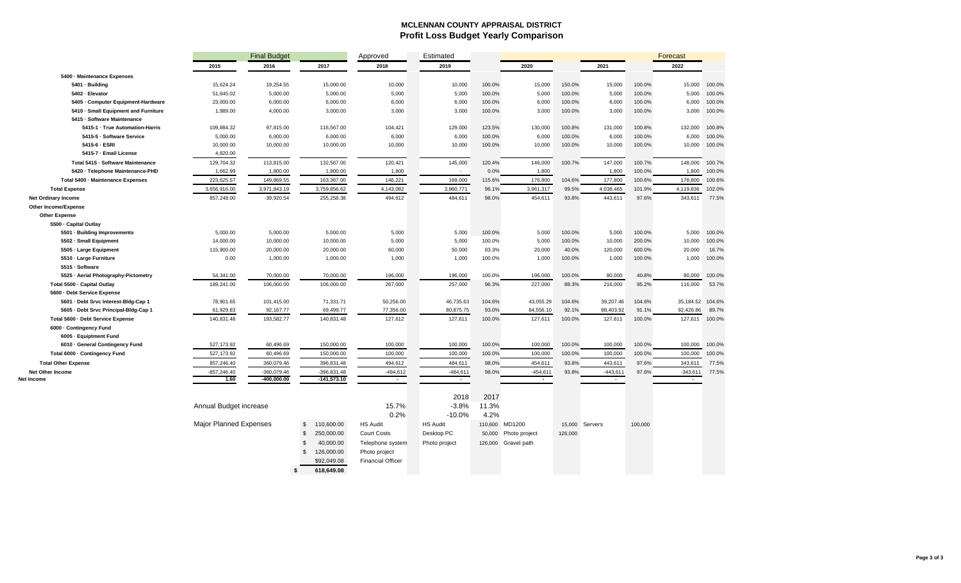#### **MCLENNAN COUNTY APPRAISAL DISTRICT Profit Loss Budget Yearly Comparison**

|                                       |                               | <b>Final Budget</b>            |                                | Approved                 | Estimated            |        |                      |         |                      |         | Forecast             |        |
|---------------------------------------|-------------------------------|--------------------------------|--------------------------------|--------------------------|----------------------|--------|----------------------|---------|----------------------|---------|----------------------|--------|
|                                       | 2015                          | 2016                           | 2017                           | 2018                     | 2019                 |        | 2020                 |         | 2021                 |         | 2022                 |        |
| 5400 - Maintenance Expenses           |                               |                                |                                |                          |                      |        |                      |         |                      |         |                      |        |
| 5401 - Building                       | 15,624.24                     | 19,254.55                      | 15,000.00                      | 10,000                   | 10,000               | 100.0% | 15,000               | 150.0%  | 15,000               | 100.0%  | 15,000               | 100.0% |
| 5402 - Elevator                       | 51,645.02                     | 5,000.00                       | 5,000.00                       | 5,000                    | 5,000                | 100.0% | 5,000                | 100.0%  | 5,000                | 100.0%  | 5,000                | 100.0% |
| 5405 - Computer Equipment-Hardware    | 23,000.00                     | 6,000.00                       | 6,000.00                       | 6,000                    | 6,000                | 100.0% | 6,000                | 100.0%  | 6,000                | 100.0%  | 6,000                | 100.0% |
| 5410 - Small Equipment and Furniture  | 1,989.00                      | 4,000.00                       | 3,000.00                       | 3,000                    | 3,000                | 100.0% | 3,000                | 100.0%  | 3,000                | 100.0%  | 3,000                | 100.0% |
| 5415 - Software Maintenance           |                               |                                |                                |                          |                      |        |                      |         |                      |         |                      |        |
| 5415-1 · True Automation-Harris       | 109,884.32                    | 97,815.00                      | 116,567.00                     | 104,421                  | 129,000              | 123.5% | 130,000              | 100.8%  | 131,000              | 100.8%  | 132,000              | 100.8% |
| 5415-5 - Software Service             | 5,000.00                      | 6,000.00                       | 6,000.00                       | 6,000                    | 6,000                | 100.0% | 6,000                | 100.0%  | 6,000                | 100.0%  | 6,000                | 100.0% |
| 5415-6 - ESRI                         | 10,000.00                     | 10,000.00                      | 10,000.00                      | 10,000                   | 10,000               | 100.0% | 10,000               | 100.0%  | 10,000               | 100.0%  | 10,000               | 100.0% |
| 5415-7 · Email License                | 4,820.00                      |                                |                                |                          |                      |        |                      |         |                      |         |                      |        |
| Total 5415 - Software Maintenance     | 129,704.32                    | 113,815.00                     | 132,567.00                     | 120,421                  | 145,000              | 120.4% | 146,000              | 100.7%  | 147,000              | 100.7%  | 148,000              | 100.7% |
| 5420 - Telephone Maintenance-PHD      | 1,662.99                      | 1,800.00                       | 1,800.00                       | 1,800                    | $\sim$               | 0.0%   | 1,800                |         | 1,800                | 100.0%  | 1,800                | 100.0% |
| Total 5400 - Maintenance Expenses     | 223,625.57                    | 149,869.55                     | 163,367.00                     | 146,221                  | 169,000              | 115.6% | 176,800              | 104.6%  | 177,800              | 100.6%  | 178,800              | 100.6% |
| <b>Total Expense</b>                  | 3,656,916.00                  | 3,971,843.19                   | 3,759,856.62                   | 4,143,082                | 3,980,771            | 96.1%  | 3,961,317            | 99.5%   | 4,038,465            | 101.9%  | 4,119,836            | 102.0% |
| Net Ordinary Income                   | 857,248.00                    | $-39,920.54$                   | 255,258.38                     | 494,612                  | 484,611              | 98.0%  | 454,611              | 93.8%   | 443,611              | 97.6%   | 343,611              | 77.5%  |
| Other Income/Expense                  |                               |                                |                                |                          |                      |        |                      |         |                      |         |                      |        |
| <b>Other Expense</b>                  |                               |                                |                                |                          |                      |        |                      |         |                      |         |                      |        |
| 5500 - Capital Outlay                 |                               |                                |                                |                          |                      |        |                      |         |                      |         |                      |        |
| 5501 · Building Improvements          | 5,000.00                      | 5,000.00                       | 5,000.00                       | 5,000                    | 5,000                | 100.0% | 5,000                | 100.0%  | 5,000                | 100.0%  | 5,000                | 100.0% |
| 5502 - Small Equipment                | 14,000.00                     | 10,000.00                      | 10,000.00                      | 5,000                    | 5,000                | 100.0% | 5,000                | 100.0%  | 10,000               | 200.0%  | 10,000               | 100.0% |
| 5505 · Large Equipment                | 115,900.00                    | 20,000.00                      | 20,000.00                      | 60,000                   | 50,000               | 83.3%  | 20,000               | 40.0%   | 120,000              | 600.0%  | 20,000               | 16.7%  |
| 5510 - Large Furniture                | 0.00                          | 1,000.00                       | 1,000.00                       | 1,000                    | 1,000                | 100.0% | 1,000                | 100.0%  | 1,000                | 100.0%  | 1,000                | 100.0% |
| 5515 · Software                       |                               |                                |                                |                          |                      |        |                      |         |                      |         |                      |        |
| 5525 · Aerial Photography-Pictometry  | 54,341.00                     | 70,000.00                      | 70,000.00                      | 196,000                  | 196,000              | 100.0% | 196,000              | 100.0%  | 80,000               | 40.8%   | 80,000               | 100.0% |
| Total 5500 · Capital Outlay           | 189,241.00                    | 106,000.00                     | 106,000.00                     | 267,000                  | 257,000              | 96.3%  | 227,000              | 88.3%   | 216,000              | 95.2%   | 116,000              | 53.7%  |
| 5600 - Debt Service Expense           |                               |                                |                                |                          |                      |        |                      |         |                      |         |                      |        |
| 5601 - Debt Srvc Interest-Bidg-Cap 1  | 78,901.65                     | 101,415.00                     | 71,331.71                      | 50,256.00                | 46,735.63            | 104.6% | 43,055.29            | 104.6%  | 39,207.46            | 104.6%  | 35,184.52            | 104.6% |
| 5605 - Debt Srvc Principal-Bldg-Cap 1 | 61,929.83                     | 92,167.77                      | 69,499.77                      | 77,356.00                | 80,875.75            | 93.0%  | 84,556.10            | 92.1%   | 88,403.92            | 91.1%   | 92,426.86            | 89.7%  |
| Total 5600 - Debt Service Expense     | 140,831.48                    | 193,582.77                     | 140,831.48                     | 127,612                  | 127,611              | 100.0% | 127,611              | 100.0%  | 127,611              | 100.0%  | 127,611              | 100.0% |
| 6000 - Contingency Fund               |                               |                                |                                |                          |                      |        |                      |         |                      |         |                      |        |
| 6005 - Equiptment Fund                |                               |                                |                                |                          |                      |        |                      |         |                      |         |                      |        |
| 6010 - General Contingency Fund       | 527,173.92                    | 60,496.69                      | 150,000.00                     | 100,000                  | 100,000              | 100.0% | 100,000              | 100.0%  | 100,000              | 100.0%  | 100,000              | 100.0% |
| Total 6000 - Contingency Fund         | 527, 173.92                   | 60,496.69                      | 150,000.00                     | 100,000                  | 100,000              | 100.0% | 100,000              | 100.0%  | 100,000              | 100.0%  | 100,000              | 100.0% |
| <b>Total Other Expense</b>            | 857,246.40                    | 360,079.46                     | 396,831.48                     | 494,612                  | 484,611              | 98.0%  | 454,611              | 93.8%   | 443,611              | 97.6%   | 343,611              | 77.5%  |
| <b>Net Other Income</b><br>Net Income | $-857,246.40$<br>1.60         | $-360,079.46$<br>$-400,000.00$ | $-396,831.48$<br>$-141,573.10$ | $-494,612$<br>$\sim$     | $-484,611$<br>$\sim$ | 98.0%  | $-454,611$<br>$\sim$ | 93.8%   | $-443,611$<br>$\sim$ | 97.6%   | $-343,611$<br>$\sim$ | 77.5%  |
|                                       |                               |                                |                                |                          |                      |        |                      |         |                      |         |                      |        |
|                                       |                               |                                |                                |                          | 2018                 | 2017   |                      |         |                      |         |                      |        |
|                                       |                               |                                |                                | 15.7%                    | $-3.8%$              | 11.3%  |                      |         |                      |         |                      |        |
|                                       | Annual Budget increase        |                                |                                |                          |                      |        |                      |         |                      |         |                      |        |
|                                       |                               |                                |                                | 0.2%                     | $-10.0%$             | 4.2%   |                      |         |                      |         |                      |        |
|                                       | <b>Major Planned Expenses</b> |                                | \$<br>110,600.00               | <b>HS Audit</b>          | <b>HS Audit</b>      |        | 110,600 MD1200       | 15,000  | Servers              | 100,000 |                      |        |
|                                       |                               |                                | $\mathbb{S}$<br>250,000.00     | <b>Court Costs</b>       | Desktop PC           |        | 50,000 Photo project | 126.000 |                      |         |                      |        |
|                                       |                               |                                | $\mathbb{S}$<br>40,000.00      | Telephone system         | Photo project        |        | 126,000 Gravel path  |         |                      |         |                      |        |
|                                       |                               |                                | $\mathfrak s$<br>126,000.00    | Photo project            |                      |        |                      |         |                      |         |                      |        |
|                                       |                               |                                | \$92,049.08                    | <b>Financial Officer</b> |                      |        |                      |         |                      |         |                      |        |
|                                       |                               | s                              | 618,649.08                     |                          |                      |        |                      |         |                      |         |                      |        |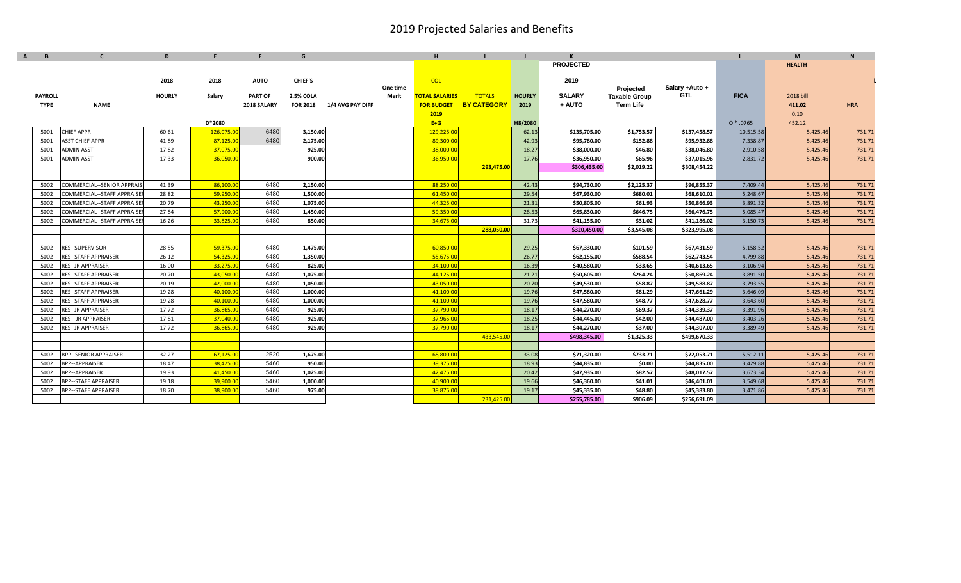|                | $\mathbf{C}$                      | D             | F         | F.             | G                |                  |                   | H.                    |                    |               | K                |                                          |                        |             | M             | $\mathbf{N}$ |
|----------------|-----------------------------------|---------------|-----------|----------------|------------------|------------------|-------------------|-----------------------|--------------------|---------------|------------------|------------------------------------------|------------------------|-------------|---------------|--------------|
|                |                                   |               |           |                |                  |                  |                   |                       |                    |               | <b>PROJECTED</b> |                                          |                        |             | <b>HEALTH</b> |              |
|                |                                   |               |           |                |                  |                  |                   |                       |                    |               |                  |                                          |                        |             |               |              |
|                |                                   | 2018          | 2018      | <b>AUTO</b>    | <b>CHIEF'S</b>   |                  |                   | <b>COL</b>            |                    |               | 2019             |                                          |                        |             |               |              |
| <b>PAYROLL</b> |                                   | <b>HOURLY</b> | Salary    | <b>PART OF</b> | <b>2.5% COLA</b> |                  | One time<br>Merit | <b>TOTAL SALARIES</b> | <b>TOTALS</b>      | <b>HOURLY</b> | <b>SALARY</b>    | Projected                                | Salary + Auto +<br>GTL | <b>FICA</b> | 2018 bill     |              |
| <b>TYPE</b>    | <b>NAME</b>                       |               |           | 2018 SALARY    | <b>FOR 2018</b>  | 1/4 AVG PAY DIFF |                   | <b>FOR BUDGET</b>     | <b>BY CATEGORY</b> | 2019          | + AUTO           | <b>Taxable Group</b><br><b>Term Life</b> |                        |             | 411.02        | <b>HRA</b>   |
|                |                                   |               |           |                |                  |                  |                   | 2019                  |                    |               |                  |                                          |                        |             | 0.10          |              |
|                |                                   |               | D*2080    |                |                  |                  |                   | $E+G$                 |                    | H8/2080       |                  |                                          |                        | $0 * .0765$ | 452.12        |              |
| 5001           | <b>CHIEF APPR</b>                 | 60.61         | 126,075.0 | 6480           | 3,150.00         |                  |                   | 129,225.0             |                    | 62.13         | \$135,705.00     | \$1,753.57                               | \$137,458.57           | 10,515.58   | 5,425.46      | 731.71       |
| 5001           | <b>ASST CHIEF APPR</b>            | 41.89         | 87,125.0  | 6480           | 2,175.00         |                  |                   | 89,300.00             |                    | 42.93         | \$95,780.00      | \$152.88                                 | \$95,932.88            | 7,338.87    | 5,425.46      | 731.71       |
| 5001           | <b>ADMIN ASST</b>                 | 17.82         | 37,075.0  |                | 925.00           |                  |                   | 38,000.00             |                    | 18.27         | \$38,000.00      | \$46.80                                  | \$38,046.80            | 2,910.58    | 5,425.46      | 731.71       |
| 5001           | <b>ADMIN ASST</b>                 | 17.33         | 36,050.0  |                | 900.00           |                  |                   | 36,950.00             |                    | 17.76         | \$36,950.00      | \$65.96                                  | \$37,015.96            | 2,831.72    | 5,425.46      | 731.71       |
|                |                                   |               |           |                |                  |                  |                   |                       | 293,475.00         |               | \$306,435.00     | \$2,019.22                               | \$308,454.22           |             |               |              |
|                |                                   |               |           |                |                  |                  |                   |                       |                    |               |                  |                                          |                        |             |               |              |
| 5002           | COMMERCIAL--SENIOR APPRAIS        | 41.39         | 86,100.0  | 6480           | 2,150.00         |                  |                   | 88,250.00             |                    | 42.43         | \$94,730.00      | \$2,125.37                               | \$96,855.37            | 7,409.44    | 5,425.46      | 731.71       |
| 5002           | COMMERCIAL--STAFF APPRAISE        | 28.82         | 59,950.00 | 6480           | 1.500.00         |                  |                   | 61,450.00             |                    | 29.54         | \$67.930.00      | \$680.01                                 | \$68,610.01            | 5,248.67    | 5,425.46      | 731.71       |
| 5002           | COMMERCIAL--STAFF APPRAISE        | 20.79         | 43,250.00 | 6480           | 1,075.00         |                  |                   | 44,325.00             |                    | 21.31         | \$50,805.00      | \$61.93                                  | \$50,866.93            | 3,891.32    | 5,425.46      | 731.71       |
| 5002           | COMMERCIAL--STAFF APPRAISE        | 27.84         | 57,900.0  | 6480           | 1,450.00         |                  |                   | 59,350.00             |                    | 28.53         | \$65,830.00      | \$646.75                                 | \$66,476.75            | 5,085.47    | 5,425.46      | 731.71       |
| 5002           | <b>COMMERCIAL--STAFF APPRAISE</b> | 16.26         | 33,825.0  | 6480           | 850.00           |                  |                   | 34,675.00             |                    | 31.73         | \$41,155.00      | \$31.02                                  | \$41,186.02            | 3,150.73    | 5,425.46      | 731.71       |
|                |                                   |               |           |                |                  |                  |                   |                       | 288,050.00         |               | \$320,450.00     | \$3,545.08                               | \$323,995.08           |             |               |              |
|                |                                   |               |           |                |                  |                  |                   |                       |                    |               |                  |                                          |                        |             |               |              |
| 5002           | RES--SUPERVISOR                   | 28.55         | 59,375.0  | 6480           | 1,475.00         |                  |                   | 60,850.00             |                    | 29.25         | \$67,330.00      | \$101.59                                 | \$67,431.59            | 5,158.52    | 5,425.46      | 731.71       |
| 5002           | <b>RES--STAFF APPRAISER</b>       | 26.12         | 54,325.0  | 6480           | 1,350.00         |                  |                   | 55,675.00             |                    | 26.77         | \$62,155.00      | \$588.54                                 | \$62,743.54            | 4,799.88    | 5,425.46      | 731.71       |
| 5002           | <b>RES--JR APPRAISER</b>          | 16.00         | 33,275.0  | 6480           | 825.00           |                  |                   | 34,100.00             |                    | 16.39         | \$40,580.00      | \$33.65                                  | \$40,613.65            | 3,106.94    | 5,425.46      | 731.71       |
| 5002           | <b>RES--STAFF APPRAISER</b>       | 20.70         | 43,050.00 | 6480           | 1,075.00         |                  |                   | 44,125.00             |                    | 21.21         | \$50,605.00      | \$264.24                                 | \$50,869.24            | 3,891.50    | 5,425.46      | 731.71       |
| 5002           | <b>RES--STAFF APPRAISER</b>       | 20.19         | 42,000.00 | 6480           | 1,050.00         |                  |                   | 43,050.00             |                    | 20.70         | \$49,530.00      | \$58.87                                  | \$49,588.87            | 3,793.55    | 5,425.46      | 731.71       |
| 5002           | <b>RES--STAFF APPRAISER</b>       | 19.28         | 40,100.00 | 6480           | 1,000.00         |                  |                   | 41,100.00             |                    | 19.76         | \$47,580.00      | \$81.29                                  | \$47,661.29            | 3,646.09    | 5,425.46      | 731.71       |
| 5002           | <b>RES--STAFF APPRAISER</b>       | 19.28         | 40,100.0  | 6480           | 1,000.00         |                  |                   | 41,100.00             |                    | 19.76         | \$47,580.00      | \$48.77                                  | \$47,628.77            | 3,643.60    | 5,425.46      | 731.71       |
| 5002           | <b>RES--JR APPRAISER</b>          | 17.72         | 36,865.0  | 6480           | 925.00           |                  |                   | 37,790.00             |                    | 18.17         | \$44,270.00      | \$69.37                                  | \$44,339.37            | 3,391.96    | 5,425.46      | 731.71       |
| 5002           | <b>RES-- JR APPRAISER</b>         | 17.81         | 37,040.0  | 6480           | 925.00           |                  |                   | 37,965.00             |                    | 18.25         | \$44,445.00      | \$42.00                                  | \$44,487.00            | 3,403.26    | 5,425.46      | 731.71       |
| 5002           | <b>RES--JR APPRAISER</b>          | 17.72         | 36,865.0  | 6480           | 925.00           |                  |                   | 37,790.00             |                    | 18.17         | \$44,270.00      | \$37.00                                  | \$44,307.00            | 3,389.49    | 5,425.46      | 731.71       |
|                |                                   |               |           |                |                  |                  |                   |                       | 433,545.0          |               | \$498,345.00     | \$1,325.33                               | \$499,670.33           |             |               |              |
|                |                                   |               |           |                |                  |                  |                   |                       |                    |               |                  |                                          |                        |             |               |              |
| 5002           | <b>BPP--SENIOR APPRAISER</b>      | 32.27         | 67,125.00 | 2520           | 1,675.00         |                  |                   | 68,800.00             |                    | 33.08         | \$71,320.00      | \$733.71                                 | \$72,053.71            | 5,512.11    | 5,425.46      | 731.71       |
| 5002           | <b>BPP--APPRAISER</b>             | 18.47         | 38,425.0  | 5460           | 950.00           |                  |                   | 39.375.00             |                    | 18.93         | \$44,835.00      | \$0.00                                   | \$44,835.00            | 3,429.88    | 5,425.46      | 731.71       |
| 5002           | <b>BPP--APPRAISER</b>             | 19.93         | 41,450.0  | 5460           | 1,025.00         |                  |                   | 42,475.00             |                    | 20.42         | \$47,935.00      | \$82.57                                  | \$48,017.57            | 3,673.34    | 5,425.46      | 731.71       |
| 5002           | <b>BPP--STAFF APPRAISER</b>       | 19.18         | 39,900.0  | 5460           | 1,000.00         |                  |                   | 40,900.00             |                    | 19.66         | \$46,360.00      | \$41.01                                  | \$46,401.01            | 3,549.68    | 5,425.46      | 731.71       |
| 5002           | <b>BPP--STAFF APPRAISER</b>       | 18.70         | 38,900.0  | 5460           | 975.00           |                  |                   | 39,875.0              |                    | 19.17         | \$45,335.00      | \$48.80                                  | \$45,383.80            | 3,471.86    | 5,425.46      | 731.71       |
|                |                                   |               |           |                |                  |                  |                   |                       | 231,425.0          |               | \$255,785.00     | \$906.09                                 | \$256.691.09           |             |               |              |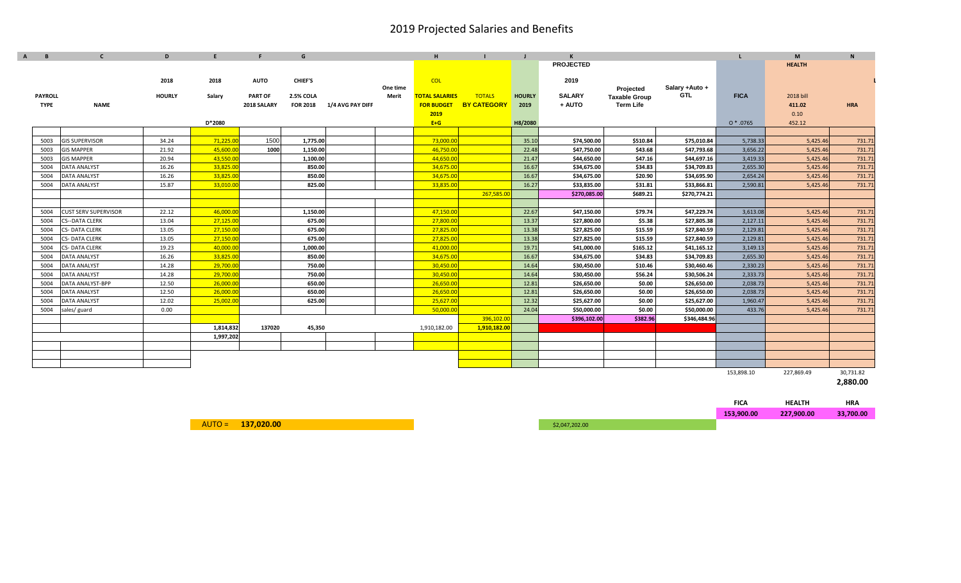| B              | $\mathbf{C}$                | D             | F         | F              | G                |                  |          | H                     |                    |               | $\mathsf{K}$     |                                   |                |             | M             | $\mathbf N$ |
|----------------|-----------------------------|---------------|-----------|----------------|------------------|------------------|----------|-----------------------|--------------------|---------------|------------------|-----------------------------------|----------------|-------------|---------------|-------------|
|                |                             |               |           |                |                  |                  |          |                       |                    |               | <b>PROJECTED</b> |                                   |                |             | <b>HEALTH</b> |             |
|                |                             |               |           |                |                  |                  |          |                       |                    |               |                  |                                   |                |             |               |             |
|                |                             | 2018          | 2018      | <b>AUTO</b>    | <b>CHIEF'S</b>   |                  | One time | <b>COL</b>            |                    |               | 2019             |                                   | Salary +Auto + |             |               |             |
| <b>PAYROLL</b> |                             | <b>HOURLY</b> | Salary    | <b>PART OF</b> | <b>2.5% COLA</b> |                  | Merit    | <b>TOTAL SALARIES</b> | <b>TOTALS</b>      | <b>HOURLY</b> | <b>SALARY</b>    | Projected<br><b>Taxable Group</b> | GTL            | <b>FICA</b> | 2018 bill     |             |
| <b>TYPE</b>    | <b>NAME</b>                 |               |           | 2018 SALARY    | <b>FOR 2018</b>  | 1/4 AVG PAY DIFF |          | <b>FOR BUDGET</b>     | <b>BY CATEGORY</b> | 2019          | + AUTO           | <b>Term Life</b>                  |                |             | 411.02        | <b>HRA</b>  |
|                |                             |               |           |                |                  |                  |          | 2019                  |                    |               |                  |                                   |                |             | 0.10          |             |
|                |                             |               | D*2080    |                |                  |                  |          | $E+G$                 |                    | H8/2080       |                  |                                   |                | $0 * .0765$ | 452.12        |             |
|                |                             |               |           |                |                  |                  |          |                       |                    |               |                  |                                   |                |             |               |             |
| 5003           | <b>GIS SUPERVISOR</b>       | 34.24         | 71,225.00 | 1500           | 1,775.00         |                  |          | 73,000.00             |                    | 35.10         | \$74,500.00      | \$510.84                          | \$75,010.84    | 5,738.33    | 5,425.46      | 731.71      |
| 5003           | <b>GIS MAPPER</b>           | 21.92         | 45,600.00 | 1000           | 1,150.00         |                  |          | 46,750.00             |                    | 22.48         | \$47,750.00      | \$43.68                           | \$47,793.68    | 3,656.22    | 5,425.46      | 731.71      |
| 5003           | <b>GIS MAPPER</b>           | 20.94         | 43,550.00 |                | 1,100.00         |                  |          | 44,650.00             |                    | 21.47         | \$44,650.00      | \$47.16                           | \$44,697.16    | 3,419.33    | 5,425.46      | 731.71      |
| 5004           | <b>DATA ANALYST</b>         | 16.26         | 33,825.00 |                | 850.00           |                  |          | 34,675.00             |                    | 16.67         | \$34,675.00      | \$34.83                           | \$34,709.83    | 2,655.30    | 5,425.46      | 731.71      |
| 5004           | <b>DATA ANALYST</b>         | 16.26         | 33,825.00 |                | 850.00           |                  |          | 34,675.00             |                    | 16.67         | \$34,675.00      | \$20.90                           | \$34,695.90    | 2,654.24    | 5,425.46      | 731.71      |
| 5004           | <b>DATA ANALYST</b>         | 15.87         | 33,010.00 |                | 825.00           |                  |          | 33,835.00             |                    | 16.27         | \$33,835.00      | \$31.81                           | \$33,866.81    | 2,590.81    | 5,425.46      | 731.71      |
|                |                             |               |           |                |                  |                  |          |                       | 267,585.0          |               | \$270,085.00     | \$689.21                          | \$270,774.21   |             |               |             |
|                |                             |               |           |                |                  |                  |          |                       |                    |               |                  |                                   |                |             |               |             |
| 5004           | <b>CUST SERV SUPERVISOR</b> | 22.12         | 46,000.00 |                | 1,150.00         |                  |          | 47,150.00             |                    | 22.67         | \$47,150.00      | \$79.74                           | \$47,229.74    | 3,613.08    | 5,425.46      | 731.71      |
| 5004           | <b>CS--DATA CLERK</b>       | 13.04         | 27,125.00 |                | 675.00           |                  |          | 27,800.00             |                    | 13.37         | \$27,800.00      | \$5.38                            | \$27,805.38    | 2,127.11    | 5,425.46      | 731.71      |
| 5004           | <b>CS-DATA CLERK</b>        | 13.05         | 27,150.00 |                | 675.00           |                  |          | 27,825.00             |                    | 13.38         | \$27,825.00      | \$15.59                           | \$27,840.59    | 2,129.81    | 5,425.46      | 731.71      |
| 5004           | <b>CS-DATA CLERK</b>        | 13.05         | 27,150.00 |                | 675.00           |                  |          | 27,825.00             |                    | 13.38         | \$27,825.00      | \$15.59                           | \$27,840.59    | 2,129.81    | 5,425.46      | 731.71      |
| 5004           | <b>CS-DATA CLERK</b>        | 19.23         | 40.000.00 |                | 1,000.00         |                  |          | 41,000.00             |                    | 19.71         | \$41,000.00      | \$165.12                          | \$41,165.12    | 3,149.13    | 5,425.46      | 731.71      |
| 5004           | <b>DATA ANALYST</b>         | 16.26         | 33,825.00 |                | 850.00           |                  |          | 34,675.00             |                    | 16.67         | \$34,675.00      | \$34.83                           | \$34,709.83    | 2,655.30    | 5,425.46      | 731.71      |
| 5004           | DATA ANALYST                | 14.28         | 29,700.00 |                | 750.00           |                  |          | 30,450.00             |                    | 14.64         | \$30,450.00      | \$10.46                           | \$30,460.46    | 2,330.23    | 5,425.46      | 731.71      |
| 5004           | DATA ANALYST                | 14.28         | 29,700.00 |                | 750.00           |                  |          | 30,450.00             |                    | 14.64         | \$30,450.00      | \$56.24                           | \$30,506.24    | 2,333.73    | 5,425.46      | 731.71      |
| 5004           | DATA ANALYST-BPP            | 12.50         | 26,000.00 |                | 650.00           |                  |          | 26,650.00             |                    | 12.81         | \$26,650.00      | \$0.00                            | \$26,650.00    | 2,038.73    | 5,425.46      | 731.71      |
| 5004           | <b>DATA ANALYST</b>         | 12.50         | 26,000.00 |                | 650.00           |                  |          | 26,650.00             |                    | 12.81         | \$26,650.00      | \$0.00                            | \$26,650.00    | 2,038.73    | 5,425.46      | 731.71      |
| 5004           | <b>DATA ANALYST</b>         | 12.02         | 25,002.00 |                | 625.00           |                  |          | 25,627.00             |                    | 12.32         | \$25,627.00      | \$0.00                            | \$25,627.00    | 1,960.47    | 5,425.46      | 731.71      |
| 5004           | sales/guard                 | 0.00          |           |                |                  |                  |          | 50,000.00             |                    | 24.04         | \$50,000.00      | \$0.00                            | \$50,000.00    | 433.76      | 5,425.46      | 731.71      |
|                |                             |               |           |                |                  |                  |          |                       | 396,102.00         |               | \$396,102.00     | \$382.96                          | \$346,484.96   |             |               |             |
|                |                             |               | 1,814,832 | 137020         | 45,350           |                  |          | 1,910,182.00          | 1,910,182.00       |               |                  |                                   |                |             |               |             |
|                |                             |               | 1,997,202 |                |                  |                  |          |                       |                    |               |                  |                                   |                |             |               |             |
|                |                             |               |           |                |                  |                  |          |                       |                    |               |                  |                                   |                |             |               |             |
|                |                             |               |           |                |                  |                  |          |                       |                    |               |                  |                                   |                |             |               |             |
|                |                             |               |           |                |                  |                  |          |                       |                    |               |                  |                                   |                |             |               |             |
|                |                             |               |           |                |                  |                  |          |                       |                    |               |                  |                                   |                | 153,898.10  | 227,869.49    | 30,731.82   |

**2,880.00**

| <b>FICA</b> | <b>HEALTH</b> | HRA       |
|-------------|---------------|-----------|
| 153,900.00  | 227,900.00    | 33,700.00 |
|             |               |           |

AUTO <sup>=</sup> **137,020.00** \$2,047,202.00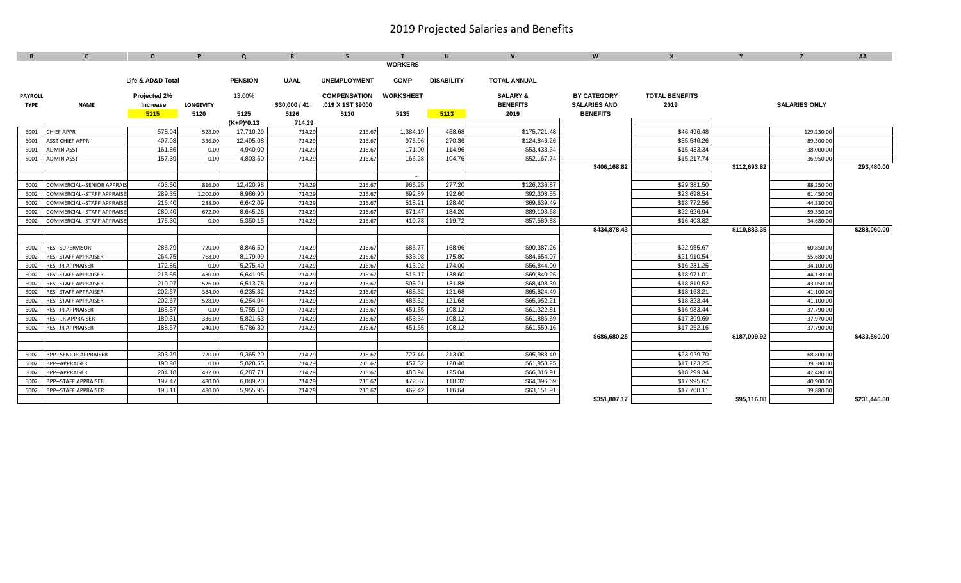| B              | $\mathbf{C}$                     | $\mathbf{o}$        | P                | $\Omega$       | $\mathbf R$   | S.                  |                  | $\mathbf{U}$      | $\mathbf{V}$        | W                   | $\mathbf{x}$          | $\mathbf{v}$ | z                    | AA           |
|----------------|----------------------------------|---------------------|------------------|----------------|---------------|---------------------|------------------|-------------------|---------------------|---------------------|-----------------------|--------------|----------------------|--------------|
|                |                                  |                     |                  |                |               |                     | <b>WORKERS</b>   |                   |                     |                     |                       |              |                      |              |
|                |                                  |                     |                  |                |               |                     |                  |                   |                     |                     |                       |              |                      |              |
|                |                                  | Life & AD&D Total   |                  | <b>PENSION</b> | <b>UAAL</b>   | <b>UNEMPLOYMENT</b> | <b>COMP</b>      | <b>DISABILITY</b> | <b>TOTAL ANNUAL</b> |                     |                       |              |                      |              |
| <b>PAYROLL</b> |                                  | <b>Projected 2%</b> |                  | 13.00%         |               | <b>COMPENSATION</b> | <b>WORKSHEET</b> |                   | <b>SALARY &amp;</b> | <b>BY CATEGORY</b>  | <b>TOTAL BENEFITS</b> |              |                      |              |
| <b>TYPE</b>    | <b>NAME</b>                      | Increase            | <b>LONGEVITY</b> |                | \$30,000 / 41 | .019 X 1ST \$9000   |                  |                   | <b>BENEFITS</b>     | <b>SALARIES AND</b> | 2019                  |              | <b>SALARIES ONLY</b> |              |
|                |                                  | 5115                | 5120             | 5125           | 5126          | 5130                | 5135             | 5113              | 2019                | <b>BENEFITS</b>     |                       |              |                      |              |
|                |                                  |                     |                  | $(K+P)^*0.13$  | 714.29        |                     |                  |                   |                     |                     |                       |              |                      |              |
| 5001           | <b>CHIEF APPR</b>                | 578.04              | 528.00           | 17,710.29      | 714.29        | 216.67              | 1,384.19         | 458.68            | \$175,721.48        |                     | \$46,496.48           |              | 129.230.00           |              |
| 5001           | <b>ASST CHIEF APPR</b>           | 407.98              | 336.00           | 12,495.08      | 714.29        | 216.67              | 976.96           | 270.36            | \$124,846.26        |                     | \$35,546.26           |              | 89.300.00            |              |
| 5001           | <b>ADMIN ASST</b>                | 161.86              | 0.00             | 4,940.00       | 714.29        | 216.67              | 171.00           | 114.96            | \$53,433.34         |                     | \$15,433.34           |              | 38,000.00            |              |
| 5001           | <b>ADMIN ASST</b>                | 157.39              | 0.00             | 4.803.50       | 714.29        | 216.67              | 166.28           | 104.76            | \$52,167.74         |                     | \$15,217.74           |              | 36.950.00            |              |
|                |                                  |                     |                  |                |               |                     |                  |                   |                     | \$406,168.82        |                       | \$112,693.82 |                      | 293,480.00   |
|                |                                  |                     |                  |                |               |                     | $\sim$           |                   |                     |                     |                       |              |                      |              |
| 5002           | <b>COMMERCIAL--SENIOR APPRAI</b> | 403.50              | 816.00           | 12,420.98      | 714.29        | 216.67              | 966.25           | 277.20            | \$126,236.87        |                     | \$29,381.50           |              | 88,250.00            |              |
| 5002           | COMMERCIAL--STAFF APPRAISE       | 289.35              | 1,200.00         | 8,986.90       | 714.29        | 216.67              | 692.89           | 192.60            | \$92,308.55         |                     | \$23,698.54           |              | 61,450.00            |              |
| 5002           | COMMERCIAL--STAFF APPRAISE       | 216.40              | 288.00           | 6,642.09       | 714.29        | 216.67              | 518.21           | 128.40            | \$69,639.49         |                     | \$18,772.56           |              | 44,330.00            |              |
| 5002           | COMMERCIAL--STAFF APPRAIS        | 280.40              | 672.00           | 8,645.26       | 714.29        | 216.67              | 671.47           | 184.20            | \$89,103.68         |                     | \$22,626.94           |              | 59,350.00            |              |
| 5002           | <b>COMMERCIAL--STAFF APPRAIS</b> | 175.30              | 0.00             | 5.350.15       | 714.29        | 216.67              | 419.78           | 219.72            | \$57,589.83         |                     | \$16,403.82           |              | 34,680.00            |              |
|                |                                  |                     |                  |                |               |                     |                  |                   |                     | \$434,878.43        |                       | \$110,883.35 |                      | \$288,060.00 |
|                |                                  |                     |                  |                |               |                     |                  |                   |                     |                     |                       |              |                      |              |
| 5002           | <b>RES--SUPERVISOR</b>           | 286.79              | 720.00           | 8,846.50       | 714.29        | 216.67              | 686.77           | 168.96            | \$90,387.26         |                     | \$22,955.67           |              | 60,850.00            |              |
| 5002           | <b>RES--STAFF APPRAISER</b>      | 264.75              | 768.00           | 8,179.99       | 714.29        | 216.67              | 633.98           | 175.80            | \$84,654.07         |                     | \$21,910.54           |              | 55,680.00            |              |
| 5002           | <b>RES--JR APPRAISER</b>         | 172.85              | 0.00             | 5,275.40       | 714.29        | 216.67              | 413.92           | 174.00            | \$56,844.90         |                     | \$16,231.25           |              | 34,100.00            |              |
| 5002           | RES--STAFF APPRAISER             | 215.55              | 480.00           | 6,641.05       | 714.29        | 216.67              | 516.17           | 138.60            | \$69,840.25         |                     | \$18,971.01           |              | 44,130.00            |              |
| 5002           | RES--STAFF APPRAISER             | 210.97              | 576.00           | 6,513.78       | 714.29        | 216.67              | 505.21           | 131.88            | \$68,408.39         |                     | \$18,819.52           |              | 43,050.00            |              |
| 5002           | <b>RES--STAFF APPRAISER</b>      | 202.67              | 384.00           | 6,235.32       | 714.29        | 216.67              | 485.32           | 121.68            | \$65,824.49         |                     | \$18,163.21           |              | 41,100.00            |              |
| 5002           | <b>RES--STAFF APPRAISER</b>      | 202.67              | 528.00           | 6,254.04       | 714.29        | 216.67              | 485.32           | 121.68            | \$65,952.21         |                     | \$18,323.44           |              | 41,100.00            |              |
| 5002           | <b>RES--JR APPRAISER</b>         | 188.57              | 0.00             | 5,755.10       | 714.29        | 216.67              | 451.55           | 108.12            | \$61,322.81         |                     | \$16,983.44           |              | 37,790.00            |              |
| 5002           | <b>RES-- JR APPRAISER</b>        | 189.31              | 336.00           | 5,821.53       | 714.29        | 216.67              | 453.34           | 108.12            | \$61,886.69         |                     | \$17,399.69           |              | 37,970.00            |              |
| 5002           | <b>RES--JR APPRAISER</b>         | 188.57              | 240.00           | 5,786.30       | 714.29        | 216.67              | 451.55           | 108.12            | \$61,559.16         |                     | \$17,252.16           |              | 37,790.00            |              |
|                |                                  |                     |                  |                |               |                     |                  |                   |                     | \$686,680.25        |                       | \$187,009.92 |                      | \$433,560.00 |
|                |                                  |                     |                  |                |               |                     |                  |                   |                     |                     |                       |              |                      |              |
| 5002           | <b>BPP--SENIOR APPRAISER</b>     | 303.79              | 720.00           | 9,365.20       | 714.29        | 216.67              | 727.46           | 213.00            | \$95,983.40         |                     | \$23,929.70           |              | 68,800.00            |              |
| 5002           | <b>BPP--APPRAISER</b>            | 190.98              | 0.00             | 5,828.55       | 714.29        | 216.67              | 457.32           | 128.40            | \$61,958.25         |                     | \$17,123.25           |              | 39,380.00            |              |
| 5002           | <b>BPP--APPRAISER</b>            | 204.18              | 432.00           | 6,287.71       | 714.29        | 216.67              | 488.94           | 125.04            | \$66,316.91         |                     | \$18,299.34           |              | 42,480.00            |              |
| 5002           | <b>BPP--STAFF APPRAISER</b>      | 197.47              | 480.00           | 6,089.20       | 714.29        | 216.67              | 472.87           | 118.32            | \$64,396.69         |                     | \$17,995.67           |              | 40,900.00            |              |
| 5002           | <b>BPP--STAFF APPRAISER</b>      | 193.11              | 480.00           | 5,955.95       | 714.29        | 216.67              | 462.42           | 116.64            | \$63,151.91         |                     | \$17,768.11           |              | 39,880.00            |              |
|                |                                  |                     |                  |                |               |                     |                  |                   |                     | \$351.807.17        |                       | \$95.116.08  |                      | \$231,440.00 |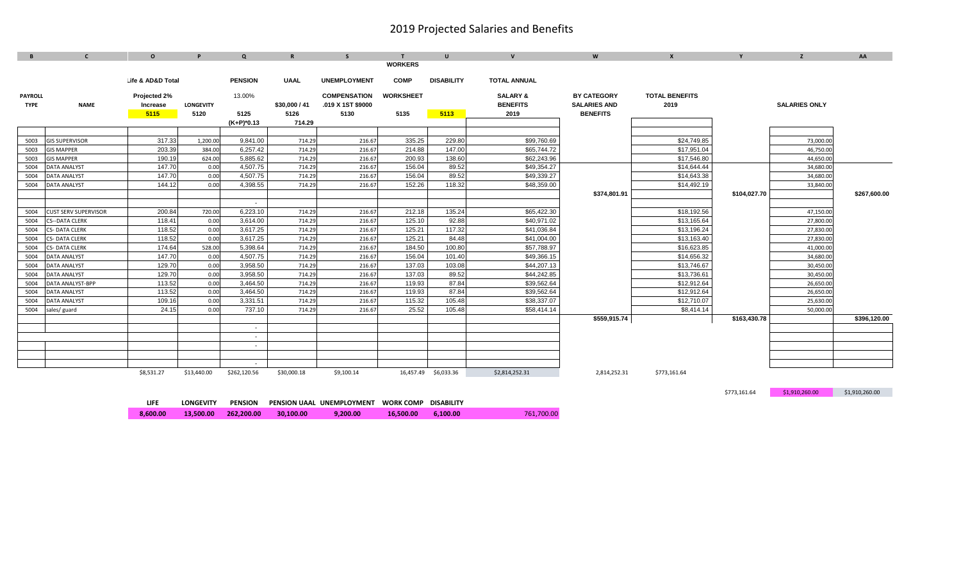| B              | C                           | $\Omega$          | P                | $\mathbf{Q}$   | $\mathbf R$   | S.                  |                  | $\mathbf{u}$      | $\mathbf{v}$        | W                   | $\mathbf{x}$          |              | z                    | AA           |
|----------------|-----------------------------|-------------------|------------------|----------------|---------------|---------------------|------------------|-------------------|---------------------|---------------------|-----------------------|--------------|----------------------|--------------|
|                |                             |                   |                  |                |               |                     | <b>WORKERS</b>   |                   |                     |                     |                       |              |                      |              |
|                |                             | Life & AD&D Total |                  | <b>PENSION</b> |               | <b>UNEMPLOYMENT</b> | <b>COMP</b>      | <b>DISABILITY</b> | <b>TOTAL ANNUAL</b> |                     |                       |              |                      |              |
|                |                             |                   |                  |                | <b>UAAL</b>   |                     |                  |                   |                     |                     |                       |              |                      |              |
| <b>PAYROLL</b> |                             | Projected 2%      |                  | 13.00%         |               | <b>COMPENSATION</b> | <b>WORKSHEET</b> |                   | <b>SALARY &amp;</b> | <b>BY CATEGORY</b>  | <b>TOTAL BENEFITS</b> |              |                      |              |
| <b>TYPE</b>    | <b>NAME</b>                 | Increase          | <b>LONGEVITY</b> |                | \$30,000 / 41 | .019 X 1ST \$9000   |                  |                   | <b>BENEFITS</b>     | <b>SALARIES AND</b> | 2019                  |              | <b>SALARIES ONLY</b> |              |
|                |                             | 5115              | 5120             | 5125           | 5126          | 5130                | 5135             | 5113              | 2019                | <b>BENEFITS</b>     |                       |              |                      |              |
|                |                             |                   |                  | $(K+P)^*0.13$  | 714.29        |                     |                  |                   |                     |                     |                       |              |                      |              |
|                |                             |                   |                  |                |               |                     |                  |                   |                     |                     |                       |              |                      |              |
| 5003           | <b>GIS SUPERVISOR</b>       | 317.33            | 1,200.00         | 9,841.00       | 714.29        | 216.67              | 335.25           | 229.80            | \$99,760.69         |                     | \$24,749.85           |              | 73,000.00            |              |
| 5003           | <b>GIS MAPPER</b>           | 203.39            | 384.00           | 6,257.42       | 714.29        | 216.67              | 214.88           | 147.00            | \$65,744.72         |                     | \$17,951.04           |              | 46,750.00            |              |
| 5003           | <b>GIS MAPPER</b>           | 190.19            | 624.00           | 5,885.62       | 714.29        | 216.67              | 200.93           | 138.60            | \$62,243.96         |                     | \$17,546.80           |              | 44,650.00            |              |
| 5004           | <b>DATA ANALYST</b>         | 147.70            | 0.00             | 4,507.75       | 714.29        | 216.67              | 156.04           | 89.52             | \$49,354.27         |                     | \$14,644.44           |              | 34,680.00            |              |
| 5004           | <b>DATA ANALYST</b>         | 147.70            | 0.00             | 4,507.75       | 714.29        | 216.67              | 156.04           | 89.52             | \$49,339.27         |                     | \$14,643.38           |              | 34,680.00            |              |
| 5004           | <b>DATA ANALYST</b>         | 144.12            | 0.00             | 4,398.55       | 714.29        | 216.67              | 152.26           | 118.32            | \$48,359.00         |                     | \$14,492.19           |              | 33,840.00            |              |
|                |                             |                   |                  |                |               |                     |                  |                   |                     | \$374,801.91        |                       | \$104,027.70 |                      | \$267,600.00 |
|                |                             |                   |                  | $\sim$         |               |                     |                  |                   |                     |                     |                       |              |                      |              |
| 5004           | <b>CUST SERV SUPERVISOR</b> | 200.84            | 720.00           | 6,223.10       | 714.29        | 216.67              | 212.18           | 135.24            | \$65,422.30         |                     | \$18,192.56           |              | 47,150.00            |              |
| 5004           | CS--DATA CLERK              | 118.41            | 0.00             | 3,614.00       | 714.29        | 216.67              | 125.10           | 92.88             | \$40,971.02         |                     | \$13,165.64           |              | 27,800.00            |              |
| 5004           | CS-DATA CLERK               | 118.52            | 0.00             | 3,617.25       | 714.29        | 216.67              | 125.21           | 117.32            | \$41,036.84         |                     | \$13,196.24           |              | 27,830.00            |              |
| 5004           | CS-DATA CLERK               | 118.52            | 0.00             | 3,617.25       | 714.29        | 216.67              | 125.21           | 84.48             | \$41,004.00         |                     | \$13,163.40           |              | 27,830.00            |              |
| 5004           | CS-DATA CLERK               | 174.64            | 528.00           | 5,398.64       | 714.29        | 216.67              | 184.50           | 100.80            | \$57,788.97         |                     | \$16,623.85           |              | 41,000.00            |              |
| 5004           | <b>DATA ANALYST</b>         | 147.70            | 0.00             | 4,507.75       | 714.29        | 216.67              | 156.04           | 101.40            | \$49,366.15         |                     | \$14,656.32           |              | 34,680.00            |              |
| 5004           | DATA ANALYST                | 129.70            | 0.00             | 3,958.50       | 714.29        | 216.67              | 137.03           | 103.08            | \$44,207.13         |                     | \$13,746.67           |              | 30,450.00            |              |
| 5004           | DATA ANALYST                | 129.70            | 0.00             | 3,958.50       | 714.29        | 216.67              | 137.03           | 89.52             | \$44,242.85         |                     | \$13,736.61           |              | 30,450.00            |              |
| 5004           | DATA ANALYST-BPP            | 113.52            | 0.00             | 3,464.50       | 714.29        | 216.67              | 119.93           | 87.84             | \$39,562.64         |                     | \$12,912.64           |              | 26,650.00            |              |
| 5004           | DATA ANALYST                | 113.52            | 0.00             | 3,464.50       | 714.29        | 216.67              | 119.93           | 87.84             | \$39,562.64         |                     | \$12,912.64           |              | 26,650.00            |              |
| 5004           | DATA ANALYST                | 109.16            | 0.00             | 3,331.51       | 714.29        | 216.67              | 115.32           | 105.48            | \$38,337.07         |                     | \$12,710.07           |              | 25,630.00            |              |
| 5004           | sales/ guard                | 24.15             | 0.00             | 737.10         | 714.29        | 216.67              | 25.52            | 105.48            | \$58,414.14         |                     | \$8,414.14            |              | 50,000.00            |              |
|                |                             |                   |                  |                |               |                     |                  |                   |                     | \$559,915.74        |                       | \$163,430.78 |                      | \$396,120.00 |
|                |                             |                   |                  | $\sim$         |               |                     |                  |                   |                     |                     |                       |              |                      |              |
|                |                             |                   |                  | $\sim$         |               |                     |                  |                   |                     |                     |                       |              |                      |              |
|                |                             |                   |                  | $\sim$         |               |                     |                  |                   |                     |                     |                       |              |                      |              |
|                |                             |                   |                  |                |               |                     |                  |                   |                     |                     |                       |              |                      |              |
|                |                             |                   |                  | $\sim$         |               |                     |                  |                   |                     |                     |                       |              |                      |              |
|                |                             | \$8,531.27        | \$13,440.00      | \$262,120.56   | \$30,000.18   | \$9,100.14          | 16,457.49        | \$6,033.36        | \$2,814,252.31      | 2,814,252.31        | \$773,161.64          |              |                      |              |

\$773,161.64 \$1,910,260.00 \$1,910,260.00

| LIFE     | <b>LONGEVITY</b> | <b>PENSION</b> |           | PENSION UAAL UNEMPLOYMENT WORK COMP DISABILITY |           |          |            |
|----------|------------------|----------------|-----------|------------------------------------------------|-----------|----------|------------|
| 8.600.00 | 13.500.00        | 262.200.00     | 30,100,00 | 9.200.00                                       | 16.500.00 | 6.100.00 | 761.700.00 |